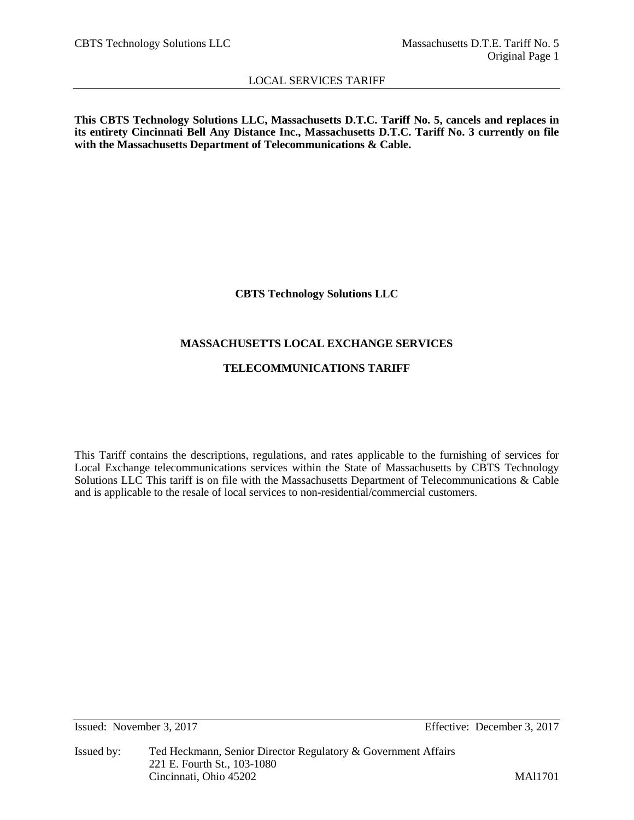**This CBTS Technology Solutions LLC, Massachusetts D.T.C. Tariff No. 5, cancels and replaces in its entirety Cincinnati Bell Any Distance Inc., Massachusetts D.T.C. Tariff No. 3 currently on file with the Massachusetts Department of Telecommunications & Cable.** 

**CBTS Technology Solutions LLC**

# **MASSACHUSETTS LOCAL EXCHANGE SERVICES**

# **TELECOMMUNICATIONS TARIFF**

This Tariff contains the descriptions, regulations, and rates applicable to the furnishing of services for Local Exchange telecommunications services within the State of Massachusetts by CBTS Technology Solutions LLC This tariff is on file with the Massachusetts Department of Telecommunications & Cable and is applicable to the resale of local services to non-residential/commercial customers.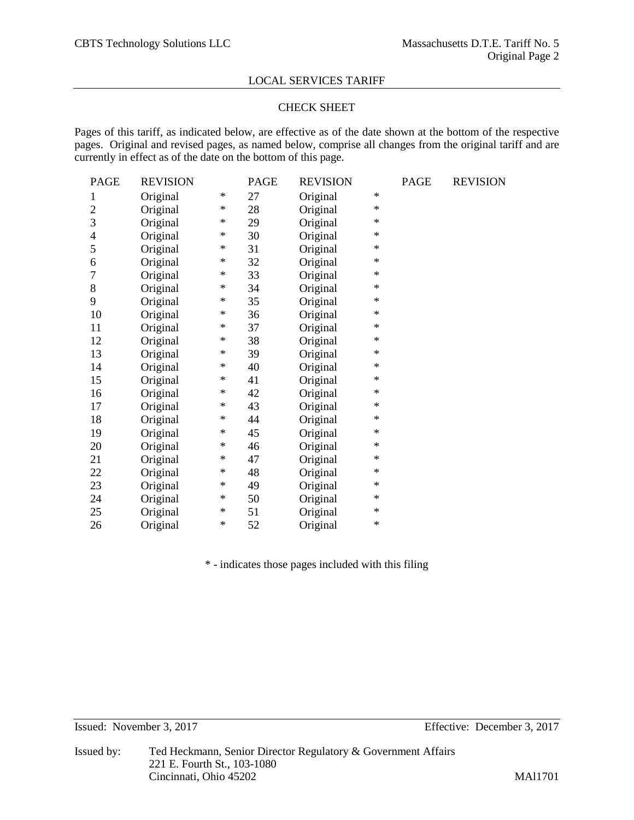# CHECK SHEET

Pages of this tariff, as indicated below, are effective as of the date shown at the bottom of the respective pages. Original and revised pages, as named below, comprise all changes from the original tariff and are currently in effect as of the date on the bottom of this page.

| PAGE           | <b>REVISION</b> |        | PAGE | <b>REVISION</b> |        | PAGE | <b>REVISION</b> |
|----------------|-----------------|--------|------|-----------------|--------|------|-----------------|
| 1              | Original        | $\ast$ | 27   | Original        | $\ast$ |      |                 |
| $\overline{c}$ | Original        | ∗      | 28   | Original        | $\ast$ |      |                 |
| 3              | Original        | $\ast$ | 29   | Original        | $\ast$ |      |                 |
| 4              | Original        | ∗      | 30   | Original        | $\ast$ |      |                 |
| 5              | Original        | ∗      | 31   | Original        | $\ast$ |      |                 |
| 6              | Original        | ∗      | 32   | Original        | $\ast$ |      |                 |
| 7              | Original        | ∗      | 33   | Original        | $\ast$ |      |                 |
| 8              | Original        | ∗      | 34   | Original        | $\ast$ |      |                 |
| 9              | Original        | ∗      | 35   | Original        | $\ast$ |      |                 |
| 10             | Original        | ∗      | 36   | Original        | $\ast$ |      |                 |
| 11             | Original        | ∗      | 37   | Original        | ∗      |      |                 |
| 12             | Original        | ∗      | 38   | Original        | $\ast$ |      |                 |
| 13             | Original        | ∗      | 39   | Original        | $\ast$ |      |                 |
| 14             | Original        | ∗      | 40   | Original        | $\ast$ |      |                 |
| 15             | Original        | ∗      | 41   | Original        | $\ast$ |      |                 |
| 16             | Original        | ∗      | 42   | Original        | $\ast$ |      |                 |
| 17             | Original        | $\ast$ | 43   | Original        | $\ast$ |      |                 |
| 18             | Original        | ∗      | 44   | Original        | $\ast$ |      |                 |
| 19             | Original        | ∗      | 45   | Original        | $\ast$ |      |                 |
| 20             | Original        | ∗      | 46   | Original        | $\ast$ |      |                 |
| 21             | Original        | ∗      | 47   | Original        | $\ast$ |      |                 |
| 22             | Original        | ∗      | 48   | Original        | $\ast$ |      |                 |
| 23             | Original        | ∗      | 49   | Original        | $\ast$ |      |                 |
| 24             | Original        | ∗      | 50   | Original        | $\ast$ |      |                 |
| 25             | Original        | ∗      | 51   | Original        | $\ast$ |      |                 |
| 26             | Original        | $\ast$ | 52   | Original        | $\ast$ |      |                 |

\* - indicates those pages included with this filing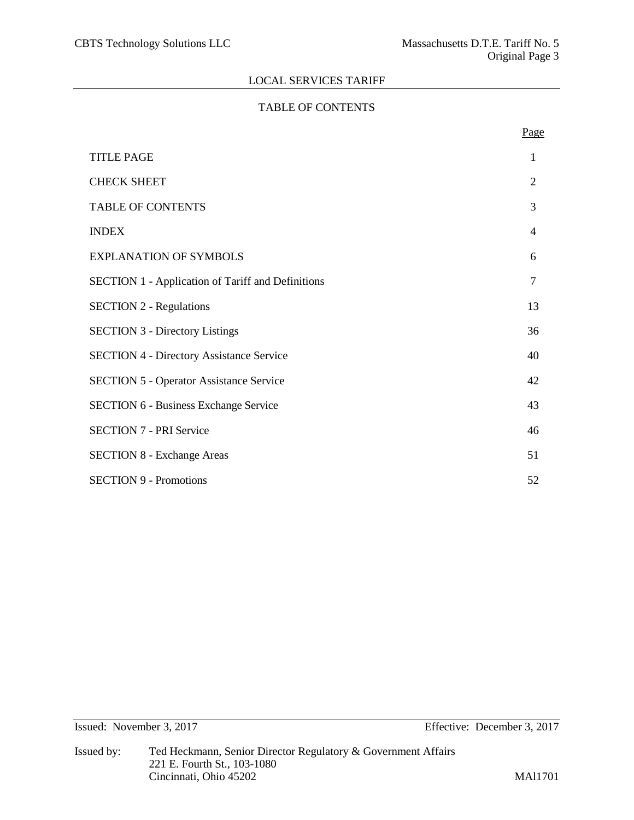# TABLE OF CONTENTS

|                                                          | Page           |
|----------------------------------------------------------|----------------|
| <b>TITLE PAGE</b>                                        | 1              |
| <b>CHECK SHEET</b>                                       | $\overline{2}$ |
| <b>TABLE OF CONTENTS</b>                                 | 3              |
| <b>INDEX</b>                                             | $\overline{4}$ |
| <b>EXPLANATION OF SYMBOLS</b>                            | 6              |
| <b>SECTION 1 - Application of Tariff and Definitions</b> | $\overline{7}$ |
| <b>SECTION 2 - Regulations</b>                           | 13             |
| <b>SECTION 3 - Directory Listings</b>                    | 36             |
| <b>SECTION 4 - Directory Assistance Service</b>          | 40             |
| <b>SECTION 5 - Operator Assistance Service</b>           | 42             |
| <b>SECTION 6 - Business Exchange Service</b>             | 43             |
| <b>SECTION 7 - PRI Service</b>                           | 46             |
| <b>SECTION 8 - Exchange Areas</b>                        | 51             |
| <b>SECTION 9 - Promotions</b>                            | 52             |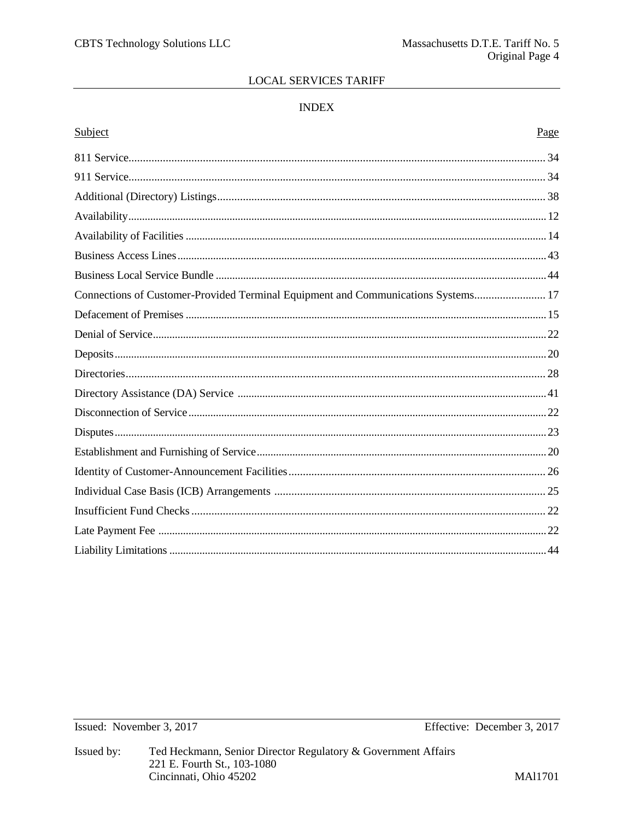# **INDEX**

# Subject

| Connections of Customer-Provided Terminal Equipment and Communications Systems 17 |  |
|-----------------------------------------------------------------------------------|--|
|                                                                                   |  |
|                                                                                   |  |
|                                                                                   |  |
|                                                                                   |  |
|                                                                                   |  |
|                                                                                   |  |
|                                                                                   |  |
|                                                                                   |  |
|                                                                                   |  |
|                                                                                   |  |
|                                                                                   |  |
|                                                                                   |  |
|                                                                                   |  |
|                                                                                   |  |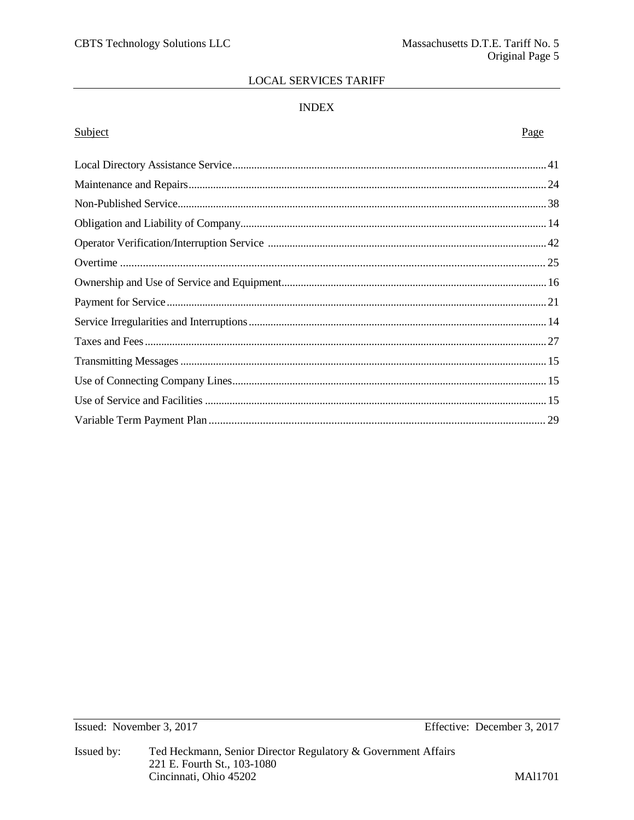# **INDEX**

# Subject

# Page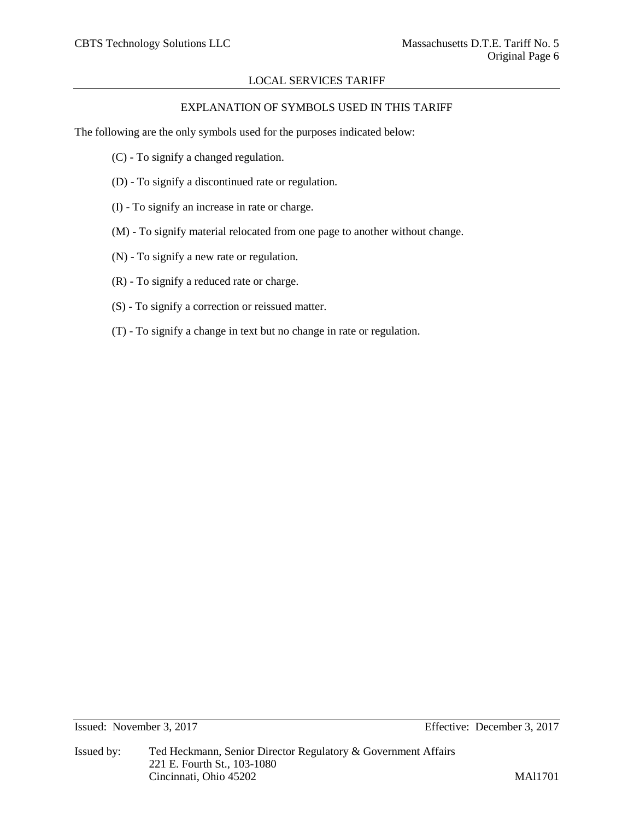# EXPLANATION OF SYMBOLS USED IN THIS TARIFF

The following are the only symbols used for the purposes indicated below:

- (C) To signify a changed regulation.
- (D) To signify a discontinued rate or regulation.
- (I) To signify an increase in rate or charge.
- (M) To signify material relocated from one page to another without change.
- (N) To signify a new rate or regulation.
- (R) To signify a reduced rate or charge.
- (S) To signify a correction or reissued matter.
- (T) To signify a change in text but no change in rate or regulation.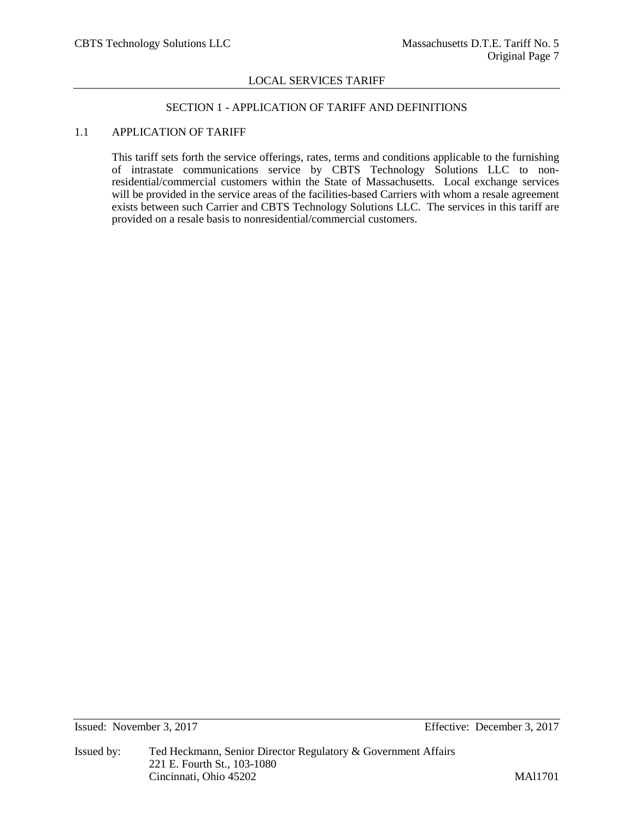# SECTION 1 - APPLICATION OF TARIFF AND DEFINITIONS

# 1.1 APPLICATION OF TARIFF

This tariff sets forth the service offerings, rates, terms and conditions applicable to the furnishing of intrastate communications service by CBTS Technology Solutions LLC to nonresidential/commercial customers within the State of Massachusetts. Local exchange services will be provided in the service areas of the facilities-based Carriers with whom a resale agreement exists between such Carrier and CBTS Technology Solutions LLC. The services in this tariff are provided on a resale basis to nonresidential/commercial customers.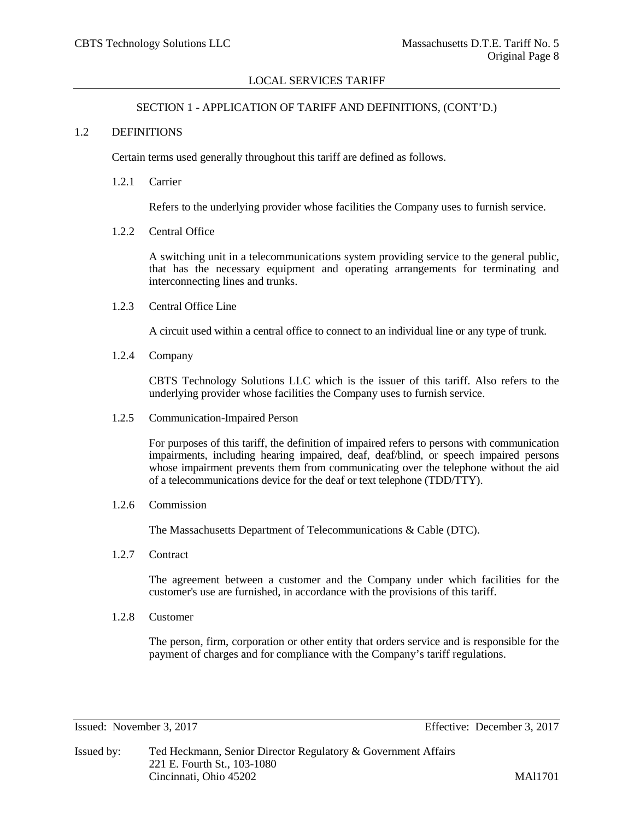#### SECTION 1 - APPLICATION OF TARIFF AND DEFINITIONS, (CONT'D.)

#### 1.2 DEFINITIONS

Certain terms used generally throughout this tariff are defined as follows.

1.2.1 Carrier

Refers to the underlying provider whose facilities the Company uses to furnish service.

1.2.2 Central Office

A switching unit in a telecommunications system providing service to the general public, that has the necessary equipment and operating arrangements for terminating and interconnecting lines and trunks.

1.2.3 Central Office Line

A circuit used within a central office to connect to an individual line or any type of trunk.

1.2.4 Company

CBTS Technology Solutions LLC which is the issuer of this tariff. Also refers to the underlying provider whose facilities the Company uses to furnish service.

1.2.5 Communication-Impaired Person

For purposes of this tariff, the definition of impaired refers to persons with communication impairments, including hearing impaired, deaf, deaf/blind, or speech impaired persons whose impairment prevents them from communicating over the telephone without the aid of a telecommunications device for the deaf or text telephone (TDD/TTY).

1.2.6 Commission

The Massachusetts Department of Telecommunications & Cable (DTC).

1.2.7 Contract

The agreement between a customer and the Company under which facilities for the customer's use are furnished, in accordance with the provisions of this tariff.

1.2.8 Customer

The person, firm, corporation or other entity that orders service and is responsible for the payment of charges and for compliance with the Company's tariff regulations.

Issued: November 3, 2017 Effective: December 3, 2017

Issued by: Ted Heckmann, Senior Director Regulatory & Government Affairs 221 E. Fourth St., 103-1080 Cincinnati, Ohio 45202 MAl1701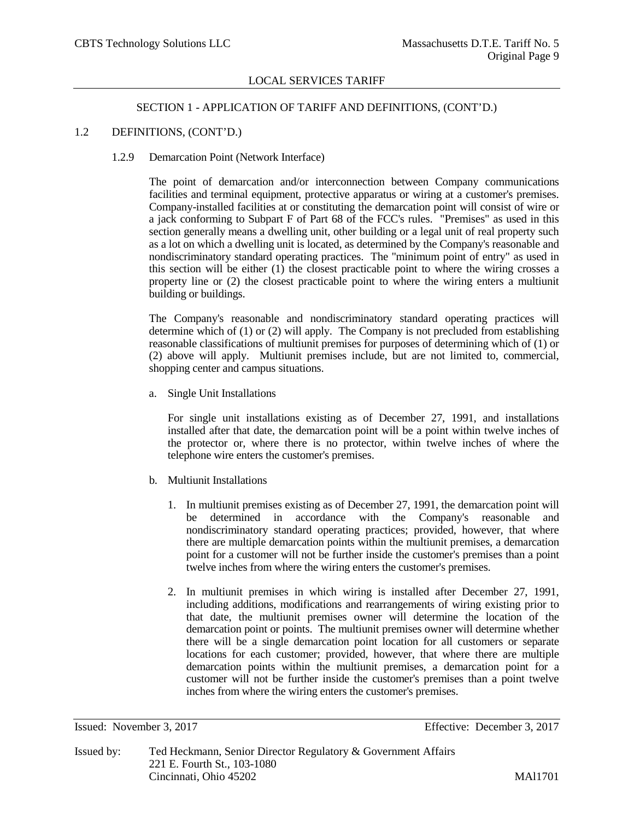# SECTION 1 - APPLICATION OF TARIFF AND DEFINITIONS, (CONT'D.)

## 1.2 DEFINITIONS, (CONT'D.)

## 1.2.9 Demarcation Point (Network Interface)

The point of demarcation and/or interconnection between Company communications facilities and terminal equipment, protective apparatus or wiring at a customer's premises. Company-installed facilities at or constituting the demarcation point will consist of wire or a jack conforming to Subpart F of Part 68 of the FCC's rules. "Premises" as used in this section generally means a dwelling unit, other building or a legal unit of real property such as a lot on which a dwelling unit is located, as determined by the Company's reasonable and nondiscriminatory standard operating practices. The "minimum point of entry" as used in this section will be either (1) the closest practicable point to where the wiring crosses a property line or (2) the closest practicable point to where the wiring enters a multiunit building or buildings.

The Company's reasonable and nondiscriminatory standard operating practices will determine which of (1) or (2) will apply. The Company is not precluded from establishing reasonable classifications of multiunit premises for purposes of determining which of (1) or (2) above will apply. Multiunit premises include, but are not limited to, commercial, shopping center and campus situations.

a. Single Unit Installations

For single unit installations existing as of December 27, 1991, and installations installed after that date, the demarcation point will be a point within twelve inches of the protector or, where there is no protector, within twelve inches of where the telephone wire enters the customer's premises.

- b. Multiunit Installations
	- 1. In multiunit premises existing as of December 27, 1991, the demarcation point will be determined in accordance with the Company's reasonable and nondiscriminatory standard operating practices; provided, however, that where there are multiple demarcation points within the multiunit premises, a demarcation point for a customer will not be further inside the customer's premises than a point twelve inches from where the wiring enters the customer's premises.
	- 2. In multiunit premises in which wiring is installed after December 27, 1991, including additions, modifications and rearrangements of wiring existing prior to that date, the multiunit premises owner will determine the location of the demarcation point or points. The multiunit premises owner will determine whether there will be a single demarcation point location for all customers or separate locations for each customer; provided, however, that where there are multiple demarcation points within the multiunit premises, a demarcation point for a customer will not be further inside the customer's premises than a point twelve inches from where the wiring enters the customer's premises.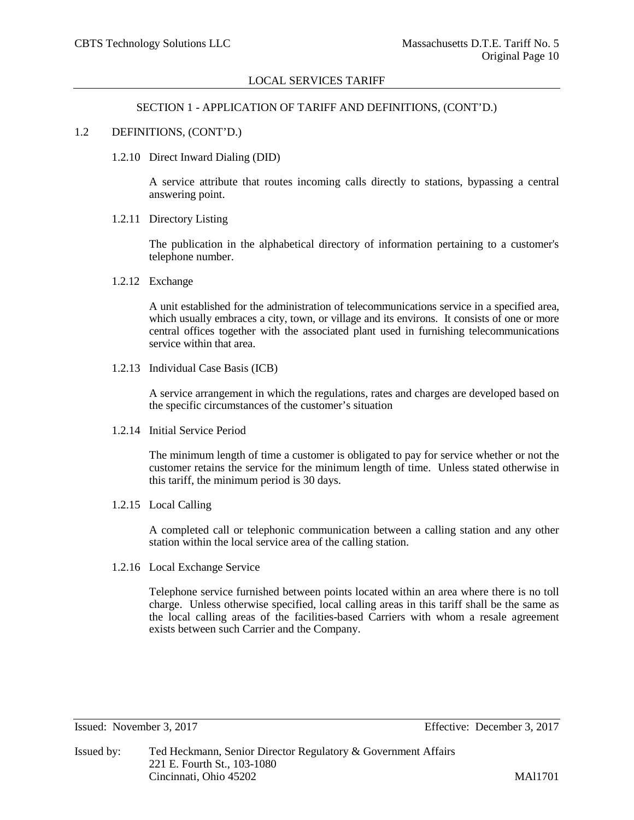#### SECTION 1 - APPLICATION OF TARIFF AND DEFINITIONS, (CONT'D.)

#### 1.2 DEFINITIONS, (CONT'D.)

1.2.10 Direct Inward Dialing (DID)

A service attribute that routes incoming calls directly to stations, bypassing a central answering point.

1.2.11 Directory Listing

The publication in the alphabetical directory of information pertaining to a customer's telephone number.

1.2.12 Exchange

A unit established for the administration of telecommunications service in a specified area, which usually embraces a city, town, or village and its environs. It consists of one or more central offices together with the associated plant used in furnishing telecommunications service within that area.

1.2.13 Individual Case Basis (ICB)

A service arrangement in which the regulations, rates and charges are developed based on the specific circumstances of the customer's situation

1.2.14 Initial Service Period

The minimum length of time a customer is obligated to pay for service whether or not the customer retains the service for the minimum length of time. Unless stated otherwise in this tariff, the minimum period is 30 days.

1.2.15 Local Calling

A completed call or telephonic communication between a calling station and any other station within the local service area of the calling station.

1.2.16 Local Exchange Service

Telephone service furnished between points located within an area where there is no toll charge. Unless otherwise specified, local calling areas in this tariff shall be the same as the local calling areas of the facilities-based Carriers with whom a resale agreement exists between such Carrier and the Company.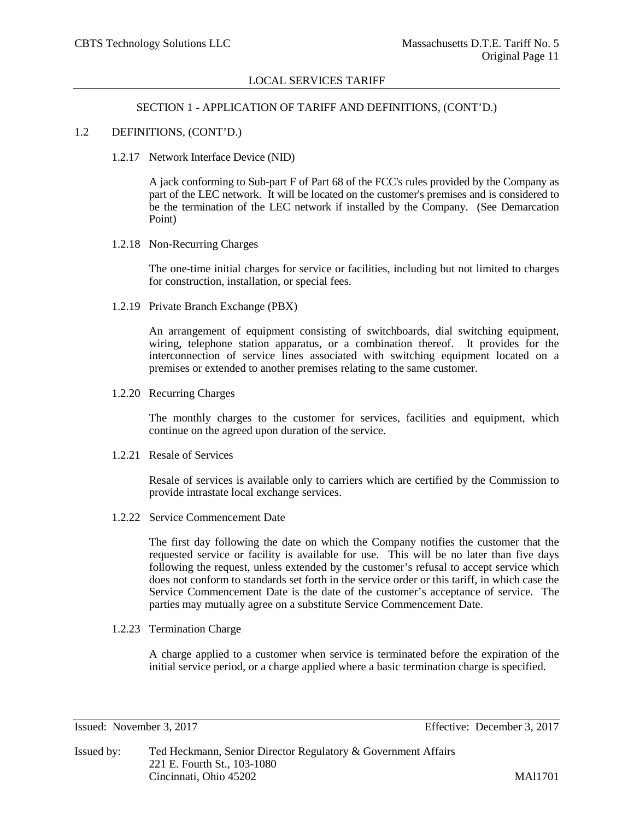# SECTION 1 - APPLICATION OF TARIFF AND DEFINITIONS, (CONT'D.)

## 1.2 DEFINITIONS, (CONT'D.)

1.2.17 Network Interface Device (NID)

A jack conforming to Sub-part F of Part 68 of the FCC's rules provided by the Company as part of the LEC network. It will be located on the customer's premises and is considered to be the termination of the LEC network if installed by the Company. (See Demarcation Point)

1.2.18 Non-Recurring Charges

The one-time initial charges for service or facilities, including but not limited to charges for construction, installation, or special fees.

1.2.19 Private Branch Exchange (PBX)

An arrangement of equipment consisting of switchboards, dial switching equipment, wiring, telephone station apparatus, or a combination thereof. It provides for the interconnection of service lines associated with switching equipment located on a premises or extended to another premises relating to the same customer.

1.2.20 Recurring Charges

The monthly charges to the customer for services, facilities and equipment, which continue on the agreed upon duration of the service.

1.2.21 Resale of Services

Resale of services is available only to carriers which are certified by the Commission to provide intrastate local exchange services.

1.2.22 Service Commencement Date

The first day following the date on which the Company notifies the customer that the requested service or facility is available for use. This will be no later than five days following the request, unless extended by the customer's refusal to accept service which does not conform to standards set forth in the service order or this tariff, in which case the Service Commencement Date is the date of the customer's acceptance of service. The parties may mutually agree on a substitute Service Commencement Date.

1.2.23 Termination Charge

A charge applied to a customer when service is terminated before the expiration of the initial service period, or a charge applied where a basic termination charge is specified.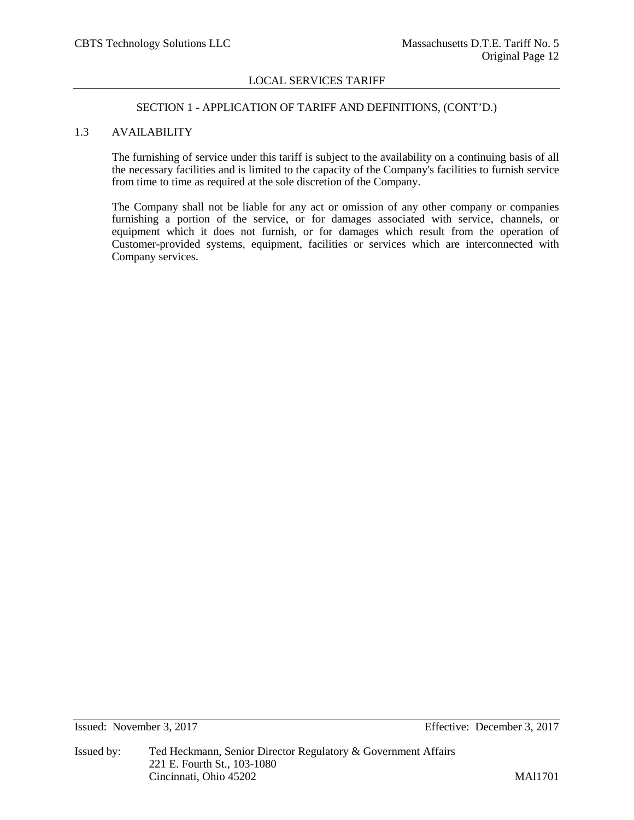#### SECTION 1 - APPLICATION OF TARIFF AND DEFINITIONS, (CONT'D.)

# 1.3 AVAILABILITY

The furnishing of service under this tariff is subject to the availability on a continuing basis of all the necessary facilities and is limited to the capacity of the Company's facilities to furnish service from time to time as required at the sole discretion of the Company.

The Company shall not be liable for any act or omission of any other company or companies furnishing a portion of the service, or for damages associated with service, channels, or equipment which it does not furnish, or for damages which result from the operation of Customer-provided systems, equipment, facilities or services which are interconnected with Company services.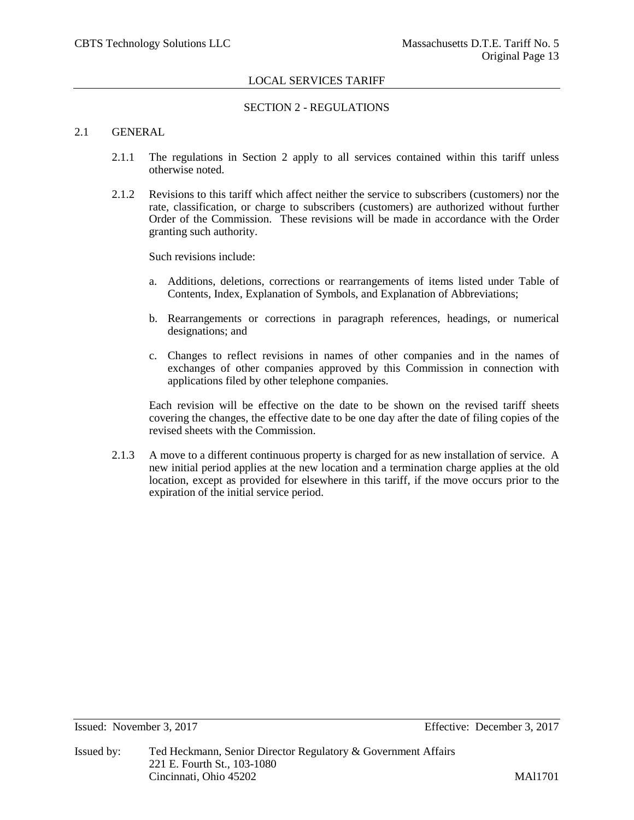# SECTION 2 - REGULATIONS

## 2.1 GENERAL

- 2.1.1 The regulations in Section 2 apply to all services contained within this tariff unless otherwise noted.
- 2.1.2 Revisions to this tariff which affect neither the service to subscribers (customers) nor the rate, classification, or charge to subscribers (customers) are authorized without further Order of the Commission. These revisions will be made in accordance with the Order granting such authority.

Such revisions include:

- a. Additions, deletions, corrections or rearrangements of items listed under Table of Contents, Index, Explanation of Symbols, and Explanation of Abbreviations;
- b. Rearrangements or corrections in paragraph references, headings, or numerical designations; and
- c. Changes to reflect revisions in names of other companies and in the names of exchanges of other companies approved by this Commission in connection with applications filed by other telephone companies.

Each revision will be effective on the date to be shown on the revised tariff sheets covering the changes, the effective date to be one day after the date of filing copies of the revised sheets with the Commission.

2.1.3 A move to a different continuous property is charged for as new installation of service. A new initial period applies at the new location and a termination charge applies at the old location, except as provided for elsewhere in this tariff, if the move occurs prior to the expiration of the initial service period.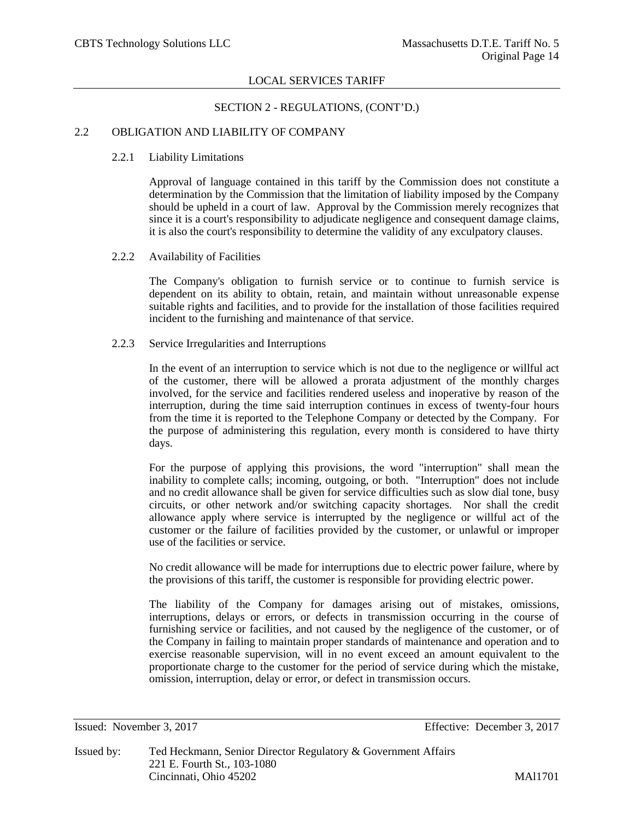## SECTION 2 - REGULATIONS, (CONT'D.)

# 2.2 OBLIGATION AND LIABILITY OF COMPANY

#### 2.2.1 Liability Limitations

Approval of language contained in this tariff by the Commission does not constitute a determination by the Commission that the limitation of liability imposed by the Company should be upheld in a court of law. Approval by the Commission merely recognizes that since it is a court's responsibility to adjudicate negligence and consequent damage claims, it is also the court's responsibility to determine the validity of any exculpatory clauses.

## 2.2.2 Availability of Facilities

The Company's obligation to furnish service or to continue to furnish service is dependent on its ability to obtain, retain, and maintain without unreasonable expense suitable rights and facilities, and to provide for the installation of those facilities required incident to the furnishing and maintenance of that service.

# 2.2.3 Service Irregularities and Interruptions

In the event of an interruption to service which is not due to the negligence or willful act of the customer, there will be allowed a prorata adjustment of the monthly charges involved, for the service and facilities rendered useless and inoperative by reason of the interruption, during the time said interruption continues in excess of twenty-four hours from the time it is reported to the Telephone Company or detected by the Company. For the purpose of administering this regulation, every month is considered to have thirty days.

For the purpose of applying this provisions, the word "interruption" shall mean the inability to complete calls; incoming, outgoing, or both. "Interruption" does not include and no credit allowance shall be given for service difficulties such as slow dial tone, busy circuits, or other network and/or switching capacity shortages. Nor shall the credit allowance apply where service is interrupted by the negligence or willful act of the customer or the failure of facilities provided by the customer, or unlawful or improper use of the facilities or service.

No credit allowance will be made for interruptions due to electric power failure, where by the provisions of this tariff, the customer is responsible for providing electric power.

The liability of the Company for damages arising out of mistakes, omissions, interruptions, delays or errors, or defects in transmission occurring in the course of furnishing service or facilities, and not caused by the negligence of the customer, or of the Company in failing to maintain proper standards of maintenance and operation and to exercise reasonable supervision, will in no event exceed an amount equivalent to the proportionate charge to the customer for the period of service during which the mistake, omission, interruption, delay or error, or defect in transmission occurs.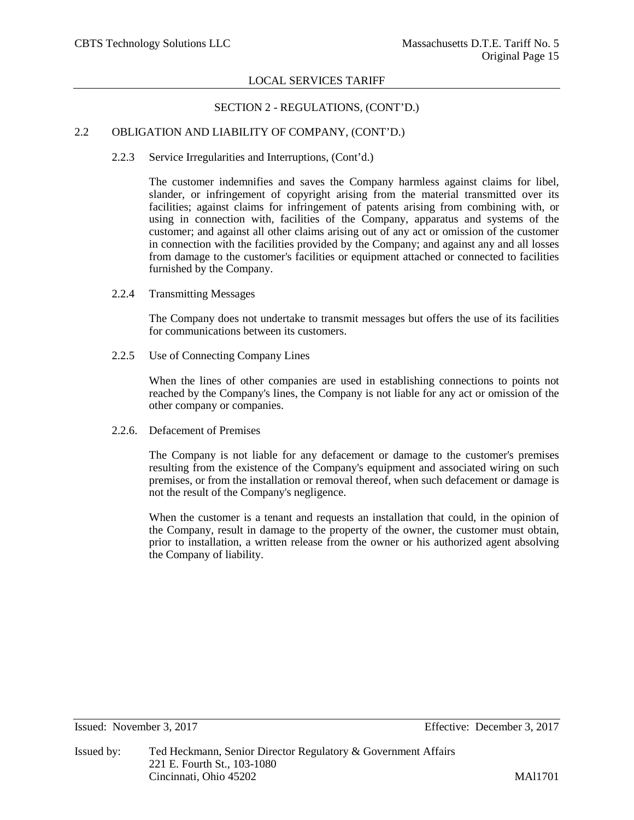# SECTION 2 - REGULATIONS, (CONT'D.)

# 2.2 OBLIGATION AND LIABILITY OF COMPANY, (CONT'D.)

2.2.3 Service Irregularities and Interruptions, (Cont'd.)

The customer indemnifies and saves the Company harmless against claims for libel, slander, or infringement of copyright arising from the material transmitted over its facilities; against claims for infringement of patents arising from combining with, or using in connection with, facilities of the Company, apparatus and systems of the customer; and against all other claims arising out of any act or omission of the customer in connection with the facilities provided by the Company; and against any and all losses from damage to the customer's facilities or equipment attached or connected to facilities furnished by the Company.

2.2.4 Transmitting Messages

The Company does not undertake to transmit messages but offers the use of its facilities for communications between its customers.

2.2.5 Use of Connecting Company Lines

When the lines of other companies are used in establishing connections to points not reached by the Company's lines, the Company is not liable for any act or omission of the other company or companies.

2.2.6. Defacement of Premises

The Company is not liable for any defacement or damage to the customer's premises resulting from the existence of the Company's equipment and associated wiring on such premises, or from the installation or removal thereof, when such defacement or damage is not the result of the Company's negligence.

When the customer is a tenant and requests an installation that could, in the opinion of the Company, result in damage to the property of the owner, the customer must obtain, prior to installation, a written release from the owner or his authorized agent absolving the Company of liability.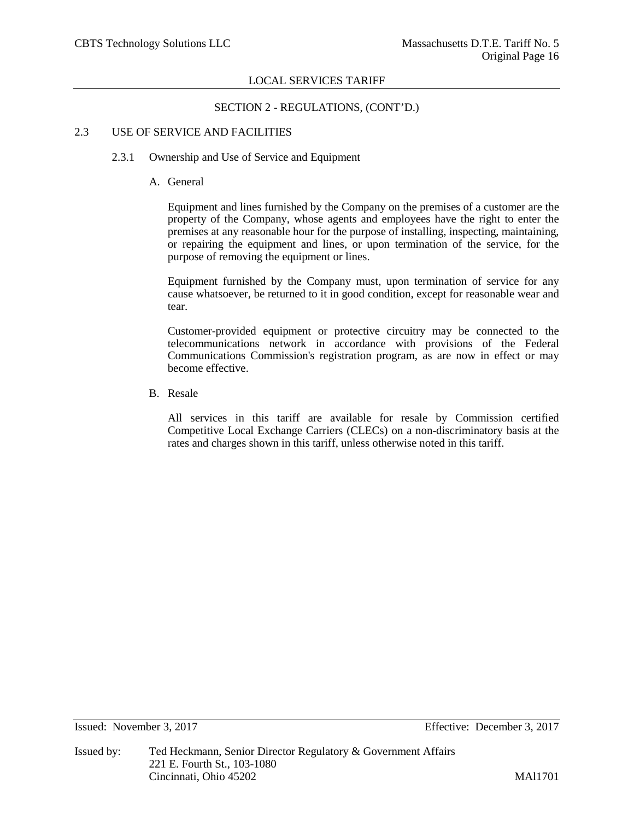# SECTION 2 - REGULATIONS, (CONT'D.)

# 2.3 USE OF SERVICE AND FACILITIES

# 2.3.1 Ownership and Use of Service and Equipment

# A. General

Equipment and lines furnished by the Company on the premises of a customer are the property of the Company, whose agents and employees have the right to enter the premises at any reasonable hour for the purpose of installing, inspecting, maintaining, or repairing the equipment and lines, or upon termination of the service, for the purpose of removing the equipment or lines.

Equipment furnished by the Company must, upon termination of service for any cause whatsoever, be returned to it in good condition, except for reasonable wear and tear.

Customer-provided equipment or protective circuitry may be connected to the telecommunications network in accordance with provisions of the Federal Communications Commission's registration program, as are now in effect or may become effective.

B. Resale

All services in this tariff are available for resale by Commission certified Competitive Local Exchange Carriers (CLECs) on a non-discriminatory basis at the rates and charges shown in this tariff, unless otherwise noted in this tariff.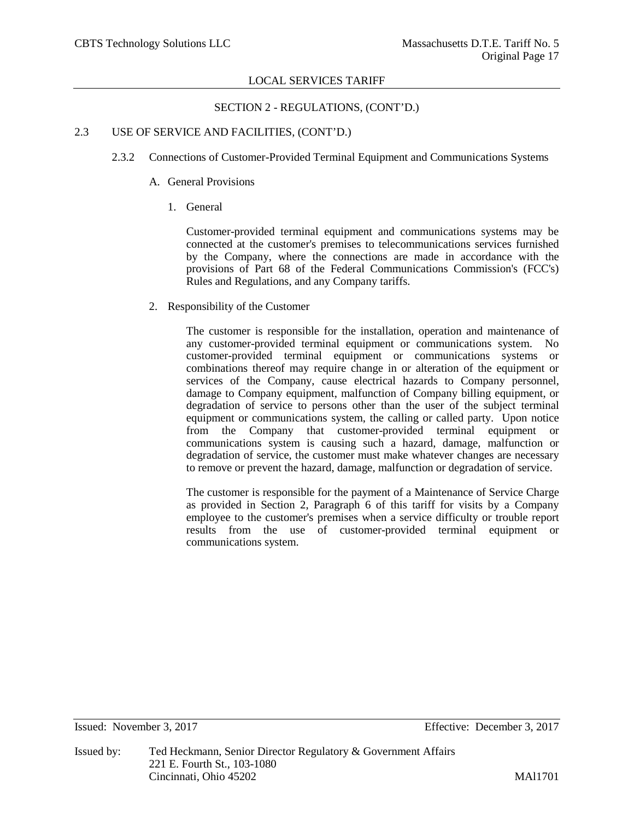# SECTION 2 - REGULATIONS, (CONT'D.)

# 2.3 USE OF SERVICE AND FACILITIES, (CONT'D.)

- 2.3.2 Connections of Customer-Provided Terminal Equipment and Communications Systems
	- A. General Provisions
		- 1. General

Customer-provided terminal equipment and communications systems may be connected at the customer's premises to telecommunications services furnished by the Company, where the connections are made in accordance with the provisions of Part 68 of the Federal Communications Commission's (FCC's) Rules and Regulations, and any Company tariffs.

2. Responsibility of the Customer

The customer is responsible for the installation, operation and maintenance of any customer-provided terminal equipment or communications system. No customer-provided terminal equipment or communications systems or combinations thereof may require change in or alteration of the equipment or services of the Company, cause electrical hazards to Company personnel, damage to Company equipment, malfunction of Company billing equipment, or degradation of service to persons other than the user of the subject terminal equipment or communications system, the calling or called party. Upon notice from the Company that customer-provided terminal equipment or communications system is causing such a hazard, damage, malfunction or degradation of service, the customer must make whatever changes are necessary to remove or prevent the hazard, damage, malfunction or degradation of service.

The customer is responsible for the payment of a Maintenance of Service Charge as provided in Section 2, Paragraph 6 of this tariff for visits by a Company employee to the customer's premises when a service difficulty or trouble report results from the use of customer-provided terminal equipment or communications system.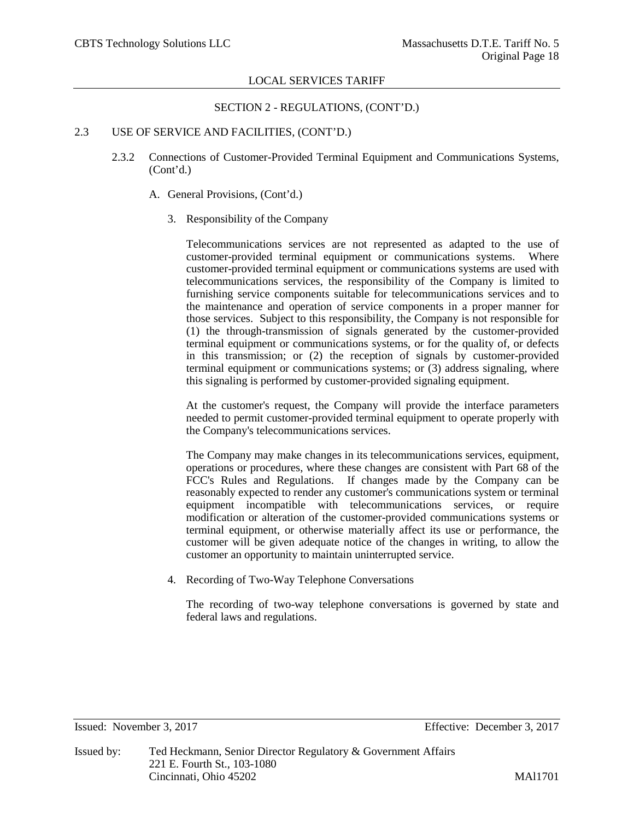# SECTION 2 - REGULATIONS, (CONT'D.)

# 2.3 USE OF SERVICE AND FACILITIES, (CONT'D.)

- 2.3.2 Connections of Customer-Provided Terminal Equipment and Communications Systems, (Cont'd.)
	- A. General Provisions, (Cont'd.)
		- 3. Responsibility of the Company

Telecommunications services are not represented as adapted to the use of customer-provided terminal equipment or communications systems. Where customer-provided terminal equipment or communications systems are used with telecommunications services, the responsibility of the Company is limited to furnishing service components suitable for telecommunications services and to the maintenance and operation of service components in a proper manner for those services. Subject to this responsibility, the Company is not responsible for (1) the through-transmission of signals generated by the customer-provided terminal equipment or communications systems, or for the quality of, or defects in this transmission; or (2) the reception of signals by customer-provided terminal equipment or communications systems; or (3) address signaling, where this signaling is performed by customer-provided signaling equipment.

At the customer's request, the Company will provide the interface parameters needed to permit customer-provided terminal equipment to operate properly with the Company's telecommunications services.

The Company may make changes in its telecommunications services, equipment, operations or procedures, where these changes are consistent with Part 68 of the FCC's Rules and Regulations. If changes made by the Company can be reasonably expected to render any customer's communications system or terminal equipment incompatible with telecommunications services, or require modification or alteration of the customer-provided communications systems or terminal equipment, or otherwise materially affect its use or performance, the customer will be given adequate notice of the changes in writing, to allow the customer an opportunity to maintain uninterrupted service.

4. Recording of Two-Way Telephone Conversations

The recording of two-way telephone conversations is governed by state and federal laws and regulations.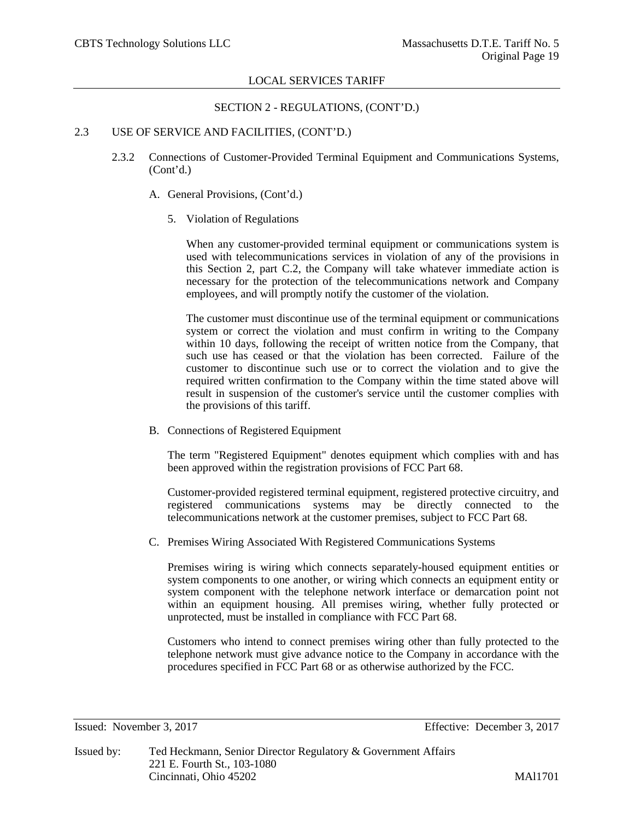## SECTION 2 - REGULATIONS, (CONT'D.)

# 2.3 USE OF SERVICE AND FACILITIES, (CONT'D.)

- 2.3.2 Connections of Customer-Provided Terminal Equipment and Communications Systems, (Cont'd.)
	- A. General Provisions, (Cont'd.)
		- 5. Violation of Regulations

When any customer-provided terminal equipment or communications system is used with telecommunications services in violation of any of the provisions in this Section 2, part C.2, the Company will take whatever immediate action is necessary for the protection of the telecommunications network and Company employees, and will promptly notify the customer of the violation.

The customer must discontinue use of the terminal equipment or communications system or correct the violation and must confirm in writing to the Company within 10 days, following the receipt of written notice from the Company, that such use has ceased or that the violation has been corrected. Failure of the customer to discontinue such use or to correct the violation and to give the required written confirmation to the Company within the time stated above will result in suspension of the customer's service until the customer complies with the provisions of this tariff.

B. Connections of Registered Equipment

The term "Registered Equipment" denotes equipment which complies with and has been approved within the registration provisions of FCC Part 68.

Customer-provided registered terminal equipment, registered protective circuitry, and registered communications systems may be directly connected to the telecommunications network at the customer premises, subject to FCC Part 68.

C. Premises Wiring Associated With Registered Communications Systems

Premises wiring is wiring which connects separately-housed equipment entities or system components to one another, or wiring which connects an equipment entity or system component with the telephone network interface or demarcation point not within an equipment housing. All premises wiring, whether fully protected or unprotected, must be installed in compliance with FCC Part 68.

Customers who intend to connect premises wiring other than fully protected to the telephone network must give advance notice to the Company in accordance with the procedures specified in FCC Part 68 or as otherwise authorized by the FCC.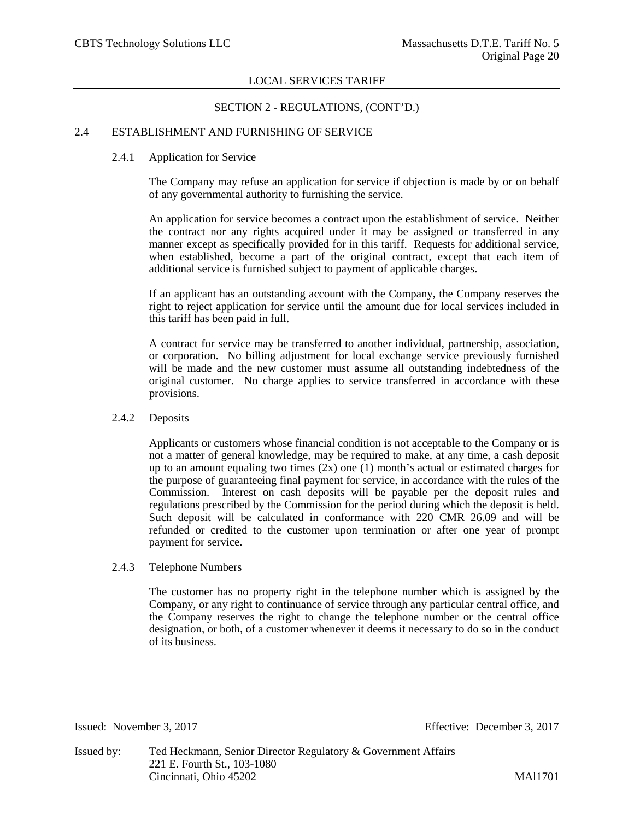# SECTION 2 - REGULATIONS, (CONT'D.)

# 2.4 ESTABLISHMENT AND FURNISHING OF SERVICE

## 2.4.1 Application for Service

The Company may refuse an application for service if objection is made by or on behalf of any governmental authority to furnishing the service.

An application for service becomes a contract upon the establishment of service. Neither the contract nor any rights acquired under it may be assigned or transferred in any manner except as specifically provided for in this tariff. Requests for additional service, when established, become a part of the original contract, except that each item of additional service is furnished subject to payment of applicable charges.

If an applicant has an outstanding account with the Company, the Company reserves the right to reject application for service until the amount due for local services included in this tariff has been paid in full.

A contract for service may be transferred to another individual, partnership, association, or corporation. No billing adjustment for local exchange service previously furnished will be made and the new customer must assume all outstanding indebtedness of the original customer. No charge applies to service transferred in accordance with these provisions.

#### 2.4.2 Deposits

Applicants or customers whose financial condition is not acceptable to the Company or is not a matter of general knowledge, may be required to make, at any time, a cash deposit up to an amount equaling two times  $(2x)$  one  $(1)$  month's actual or estimated charges for the purpose of guaranteeing final payment for service, in accordance with the rules of the Commission. Interest on cash deposits will be payable per the deposit rules and regulations prescribed by the Commission for the period during which the deposit is held. Such deposit will be calculated in conformance with 220 CMR 26.09 and will be refunded or credited to the customer upon termination or after one year of prompt payment for service.

#### 2.4.3 Telephone Numbers

The customer has no property right in the telephone number which is assigned by the Company, or any right to continuance of service through any particular central office, and the Company reserves the right to change the telephone number or the central office designation, or both, of a customer whenever it deems it necessary to do so in the conduct of its business.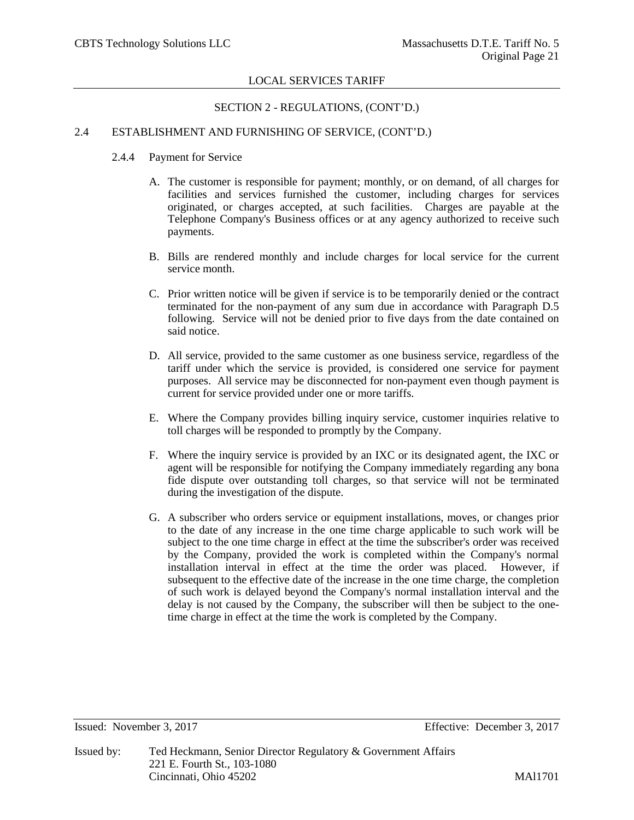# SECTION 2 - REGULATIONS, (CONT'D.)

# 2.4 ESTABLISHMENT AND FURNISHING OF SERVICE, (CONT'D.)

- 2.4.4 Payment for Service
	- A. The customer is responsible for payment; monthly, or on demand, of all charges for facilities and services furnished the customer, including charges for services originated, or charges accepted, at such facilities. Charges are payable at the Telephone Company's Business offices or at any agency authorized to receive such payments.
	- B. Bills are rendered monthly and include charges for local service for the current service month.
	- C. Prior written notice will be given if service is to be temporarily denied or the contract terminated for the non-payment of any sum due in accordance with Paragraph D.5 following. Service will not be denied prior to five days from the date contained on said notice.
	- D. All service, provided to the same customer as one business service, regardless of the tariff under which the service is provided, is considered one service for payment purposes. All service may be disconnected for non-payment even though payment is current for service provided under one or more tariffs.
	- E. Where the Company provides billing inquiry service, customer inquiries relative to toll charges will be responded to promptly by the Company.
	- F. Where the inquiry service is provided by an IXC or its designated agent, the IXC or agent will be responsible for notifying the Company immediately regarding any bona fide dispute over outstanding toll charges, so that service will not be terminated during the investigation of the dispute.
	- G. A subscriber who orders service or equipment installations, moves, or changes prior to the date of any increase in the one time charge applicable to such work will be subject to the one time charge in effect at the time the subscriber's order was received by the Company, provided the work is completed within the Company's normal installation interval in effect at the time the order was placed. However, if subsequent to the effective date of the increase in the one time charge, the completion of such work is delayed beyond the Company's normal installation interval and the delay is not caused by the Company, the subscriber will then be subject to the onetime charge in effect at the time the work is completed by the Company.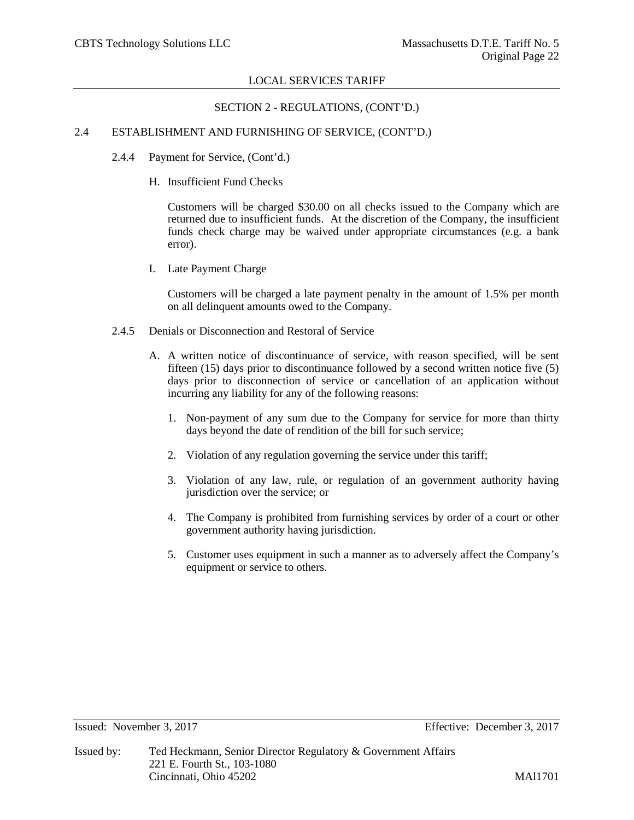## SECTION 2 - REGULATIONS, (CONT'D.)

# 2.4 ESTABLISHMENT AND FURNISHING OF SERVICE, (CONT'D.)

- 2.4.4 Payment for Service, (Cont'd.)
	- H. Insufficient Fund Checks

Customers will be charged \$30.00 on all checks issued to the Company which are returned due to insufficient funds. At the discretion of the Company, the insufficient funds check charge may be waived under appropriate circumstances (e.g. a bank error).

I. Late Payment Charge

Customers will be charged a late payment penalty in the amount of 1.5% per month on all delinquent amounts owed to the Company.

- 2.4.5 Denials or Disconnection and Restoral of Service
	- A. A written notice of discontinuance of service, with reason specified, will be sent fifteen (15) days prior to discontinuance followed by a second written notice five (5) days prior to disconnection of service or cancellation of an application without incurring any liability for any of the following reasons:
		- 1. Non-payment of any sum due to the Company for service for more than thirty days beyond the date of rendition of the bill for such service;
		- 2. Violation of any regulation governing the service under this tariff;
		- 3. Violation of any law, rule, or regulation of an government authority having jurisdiction over the service; or
		- 4. The Company is prohibited from furnishing services by order of a court or other government authority having jurisdiction.
		- 5. Customer uses equipment in such a manner as to adversely affect the Company's equipment or service to others.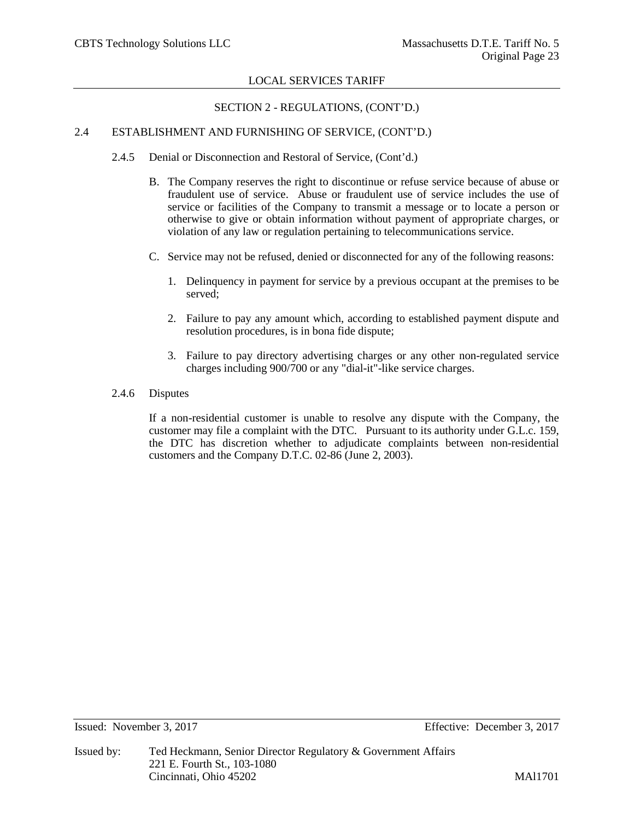# SECTION 2 - REGULATIONS, (CONT'D.)

# 2.4 ESTABLISHMENT AND FURNISHING OF SERVICE, (CONT'D.)

- 2.4.5 Denial or Disconnection and Restoral of Service, (Cont'd.)
	- B. The Company reserves the right to discontinue or refuse service because of abuse or fraudulent use of service. Abuse or fraudulent use of service includes the use of service or facilities of the Company to transmit a message or to locate a person or otherwise to give or obtain information without payment of appropriate charges, or violation of any law or regulation pertaining to telecommunications service.
	- C. Service may not be refused, denied or disconnected for any of the following reasons:
		- 1. Delinquency in payment for service by a previous occupant at the premises to be served;
		- 2. Failure to pay any amount which, according to established payment dispute and resolution procedures, is in bona fide dispute;
		- 3. Failure to pay directory advertising charges or any other non-regulated service charges including 900/700 or any "dial-it"-like service charges.
- 2.4.6 Disputes

If a non-residential customer is unable to resolve any dispute with the Company, the customer may file a complaint with the DTC. Pursuant to its authority under G.L.c. 159, the DTC has discretion whether to adjudicate complaints between non-residential customers and the Company D.T.C. 02-86 (June 2, 2003).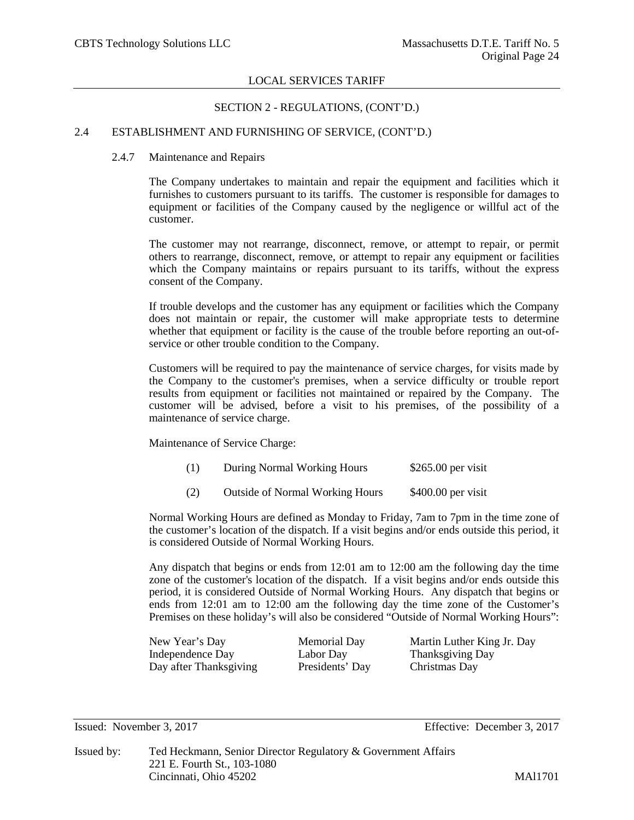## SECTION 2 - REGULATIONS, (CONT'D.)

# 2.4 ESTABLISHMENT AND FURNISHING OF SERVICE, (CONT'D.)

## 2.4.7 Maintenance and Repairs

The Company undertakes to maintain and repair the equipment and facilities which it furnishes to customers pursuant to its tariffs. The customer is responsible for damages to equipment or facilities of the Company caused by the negligence or willful act of the customer.

The customer may not rearrange, disconnect, remove, or attempt to repair, or permit others to rearrange, disconnect, remove, or attempt to repair any equipment or facilities which the Company maintains or repairs pursuant to its tariffs, without the express consent of the Company.

If trouble develops and the customer has any equipment or facilities which the Company does not maintain or repair, the customer will make appropriate tests to determine whether that equipment or facility is the cause of the trouble before reporting an out-ofservice or other trouble condition to the Company.

Customers will be required to pay the maintenance of service charges, for visits made by the Company to the customer's premises, when a service difficulty or trouble report results from equipment or facilities not maintained or repaired by the Company. The customer will be advised, before a visit to his premises, of the possibility of a maintenance of service charge.

Maintenance of Service Charge:

- (1) During Normal Working Hours \$265.00 per visit
- (2) Outside of Normal Working Hours \$400.00 per visit

Normal Working Hours are defined as Monday to Friday, 7am to 7pm in the time zone of the customer's location of the dispatch. If a visit begins and/or ends outside this period, it is considered Outside of Normal Working Hours.

Any dispatch that begins or ends from 12:01 am to 12:00 am the following day the time zone of the customer's location of the dispatch. If a visit begins and/or ends outside this period, it is considered Outside of Normal Working Hours. Any dispatch that begins or ends from 12:01 am to 12:00 am the following day the time zone of the Customer's Premises on these holiday's will also be considered "Outside of Normal Working Hours":

Independence Day Labor Day Thanksgiving Day<br>
Day after Thanksgiving Presidents' Day Christmas Day Day after Thanksgiving

New Year's Day Memorial Day Martin Luther King Jr. Day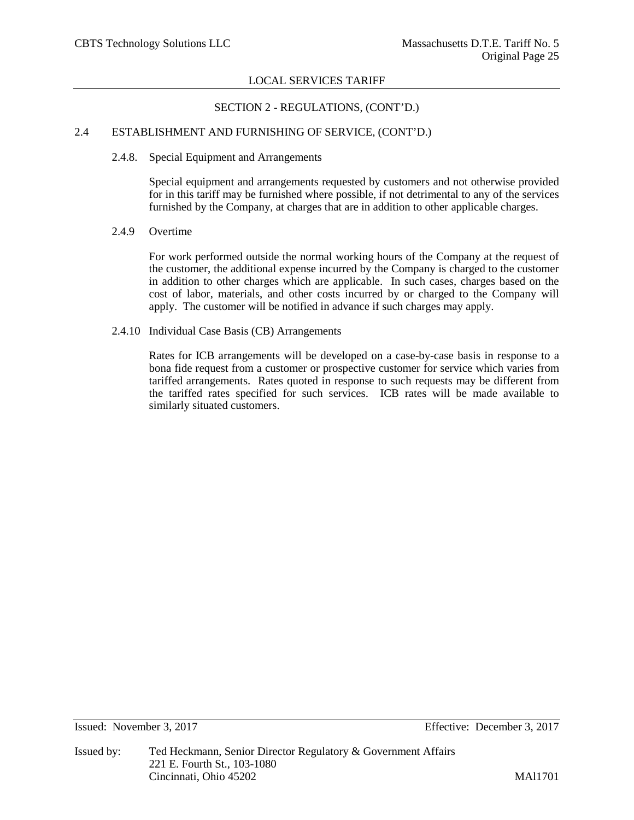# SECTION 2 - REGULATIONS, (CONT'D.)

# 2.4 ESTABLISHMENT AND FURNISHING OF SERVICE, (CONT'D.)

#### 2.4.8. Special Equipment and Arrangements

Special equipment and arrangements requested by customers and not otherwise provided for in this tariff may be furnished where possible, if not detrimental to any of the services furnished by the Company, at charges that are in addition to other applicable charges.

#### 2.4.9 Overtime

For work performed outside the normal working hours of the Company at the request of the customer, the additional expense incurred by the Company is charged to the customer in addition to other charges which are applicable. In such cases, charges based on the cost of labor, materials, and other costs incurred by or charged to the Company will apply. The customer will be notified in advance if such charges may apply.

2.4.10 Individual Case Basis (CB) Arrangements

Rates for ICB arrangements will be developed on a case-by-case basis in response to a bona fide request from a customer or prospective customer for service which varies from tariffed arrangements. Rates quoted in response to such requests may be different from the tariffed rates specified for such services. ICB rates will be made available to similarly situated customers.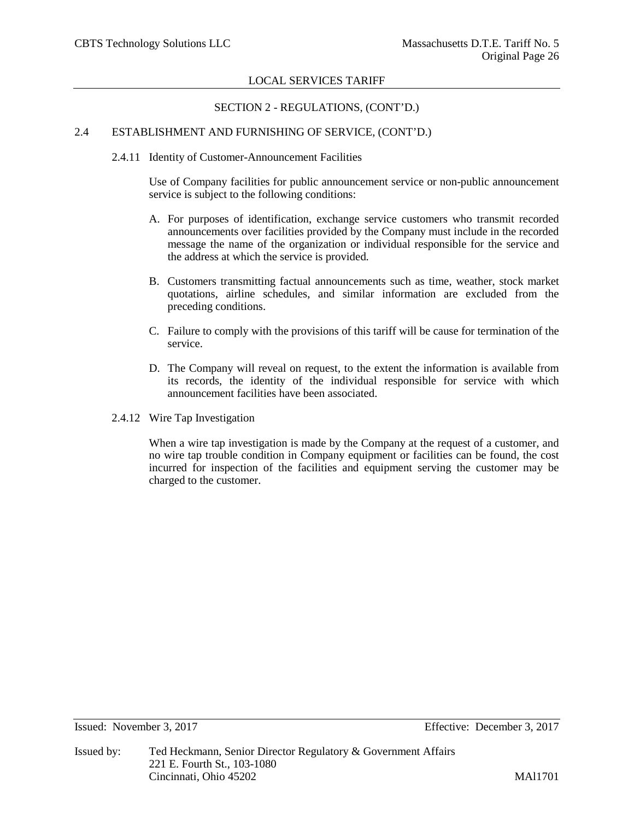# SECTION 2 - REGULATIONS, (CONT'D.)

# 2.4 ESTABLISHMENT AND FURNISHING OF SERVICE, (CONT'D.)

2.4.11 Identity of Customer-Announcement Facilities

Use of Company facilities for public announcement service or non-public announcement service is subject to the following conditions:

- A. For purposes of identification, exchange service customers who transmit recorded announcements over facilities provided by the Company must include in the recorded message the name of the organization or individual responsible for the service and the address at which the service is provided.
- B. Customers transmitting factual announcements such as time, weather, stock market quotations, airline schedules, and similar information are excluded from the preceding conditions.
- C. Failure to comply with the provisions of this tariff will be cause for termination of the service.
- D. The Company will reveal on request, to the extent the information is available from its records, the identity of the individual responsible for service with which announcement facilities have been associated.
- 2.4.12 Wire Tap Investigation

When a wire tap investigation is made by the Company at the request of a customer, and no wire tap trouble condition in Company equipment or facilities can be found, the cost incurred for inspection of the facilities and equipment serving the customer may be charged to the customer.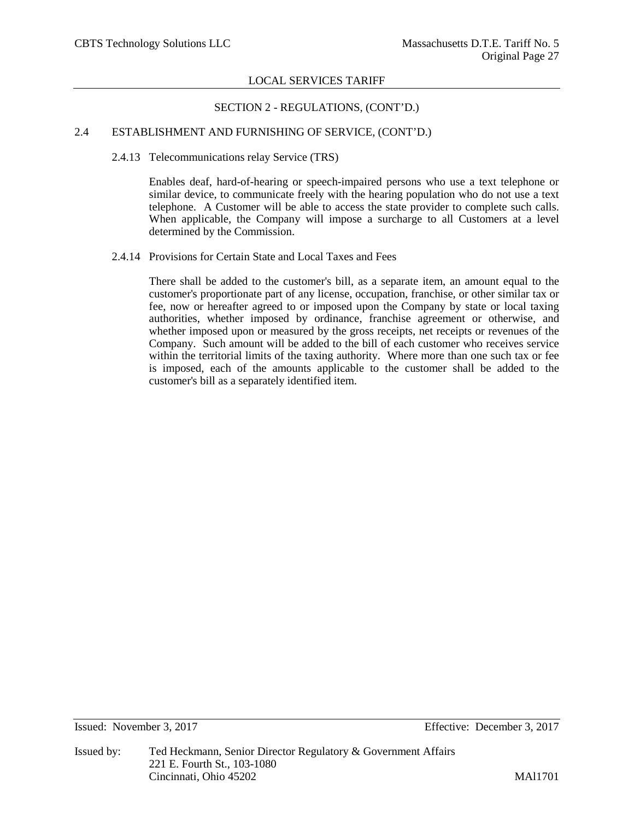# SECTION 2 - REGULATIONS, (CONT'D.)

# 2.4 ESTABLISHMENT AND FURNISHING OF SERVICE, (CONT'D.)

# 2.4.13 Telecommunications relay Service (TRS)

Enables deaf, hard-of-hearing or speech-impaired persons who use a text telephone or similar device, to communicate freely with the hearing population who do not use a text telephone. A Customer will be able to access the state provider to complete such calls. When applicable, the Company will impose a surcharge to all Customers at a level determined by the Commission.

# 2.4.14 Provisions for Certain State and Local Taxes and Fees

There shall be added to the customer's bill, as a separate item, an amount equal to the customer's proportionate part of any license, occupation, franchise, or other similar tax or fee, now or hereafter agreed to or imposed upon the Company by state or local taxing authorities, whether imposed by ordinance, franchise agreement or otherwise, and whether imposed upon or measured by the gross receipts, net receipts or revenues of the Company. Such amount will be added to the bill of each customer who receives service within the territorial limits of the taxing authority. Where more than one such tax or fee is imposed, each of the amounts applicable to the customer shall be added to the customer's bill as a separately identified item.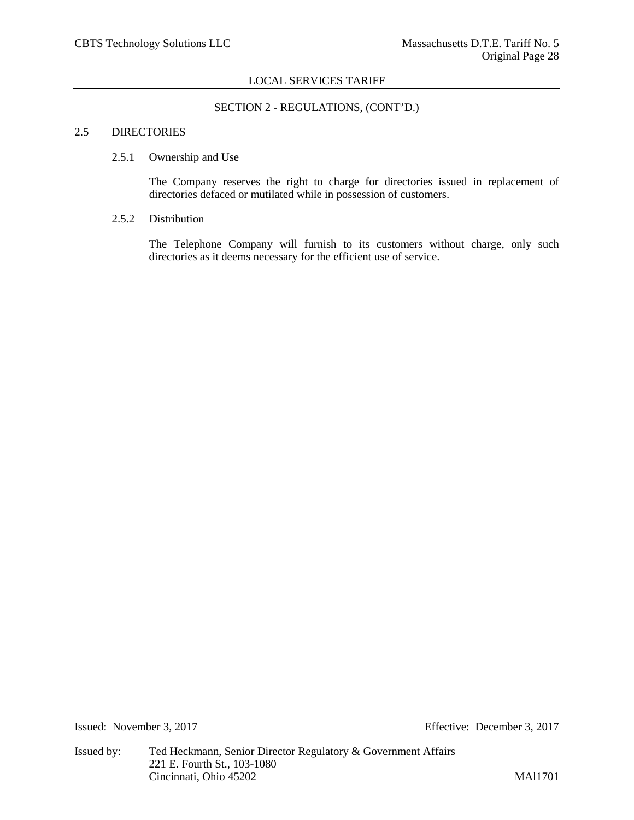# SECTION 2 - REGULATIONS, (CONT'D.)

## 2.5 DIRECTORIES

#### 2.5.1 Ownership and Use

The Company reserves the right to charge for directories issued in replacement of directories defaced or mutilated while in possession of customers.

#### 2.5.2 Distribution

The Telephone Company will furnish to its customers without charge, only such directories as it deems necessary for the efficient use of service.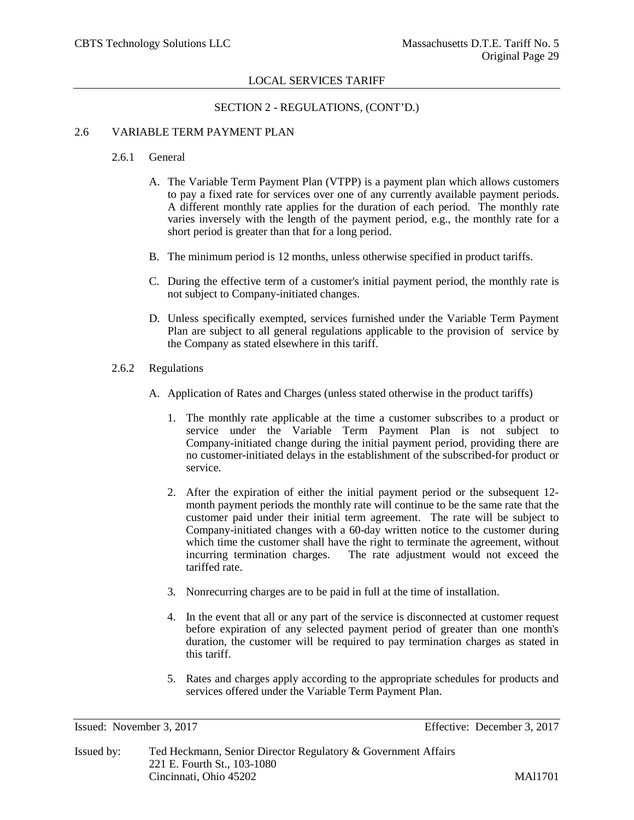# SECTION 2 - REGULATIONS, (CONT'D.)

# 2.6 VARIABLE TERM PAYMENT PLAN

#### 2.6.1 General

- A. The Variable Term Payment Plan (VTPP) is a payment plan which allows customers to pay a fixed rate for services over one of any currently available payment periods. A different monthly rate applies for the duration of each period. The monthly rate varies inversely with the length of the payment period, e.g., the monthly rate for a short period is greater than that for a long period.
- B. The minimum period is 12 months, unless otherwise specified in product tariffs.
- C. During the effective term of a customer's initial payment period, the monthly rate is not subject to Company-initiated changes.
- D. Unless specifically exempted, services furnished under the Variable Term Payment Plan are subject to all general regulations applicable to the provision of service by the Company as stated elsewhere in this tariff.
- 2.6.2 Regulations
	- A. Application of Rates and Charges (unless stated otherwise in the product tariffs)
		- 1. The monthly rate applicable at the time a customer subscribes to a product or service under the Variable Term Payment Plan is not subject to Company-initiated change during the initial payment period, providing there are no customer-initiated delays in the establishment of the subscribed-for product or service.
		- 2. After the expiration of either the initial payment period or the subsequent 12 month payment periods the monthly rate will continue to be the same rate that the customer paid under their initial term agreement. The rate will be subject to Company-initiated changes with a 60-day written notice to the customer during which time the customer shall have the right to terminate the agreement, without incurring termination charges. The rate adjustment would not exceed the tariffed rate.
		- 3. Nonrecurring charges are to be paid in full at the time of installation.
		- 4. In the event that all or any part of the service is disconnected at customer request before expiration of any selected payment period of greater than one month's duration, the customer will be required to pay termination charges as stated in this tariff.
		- 5. Rates and charges apply according to the appropriate schedules for products and services offered under the Variable Term Payment Plan.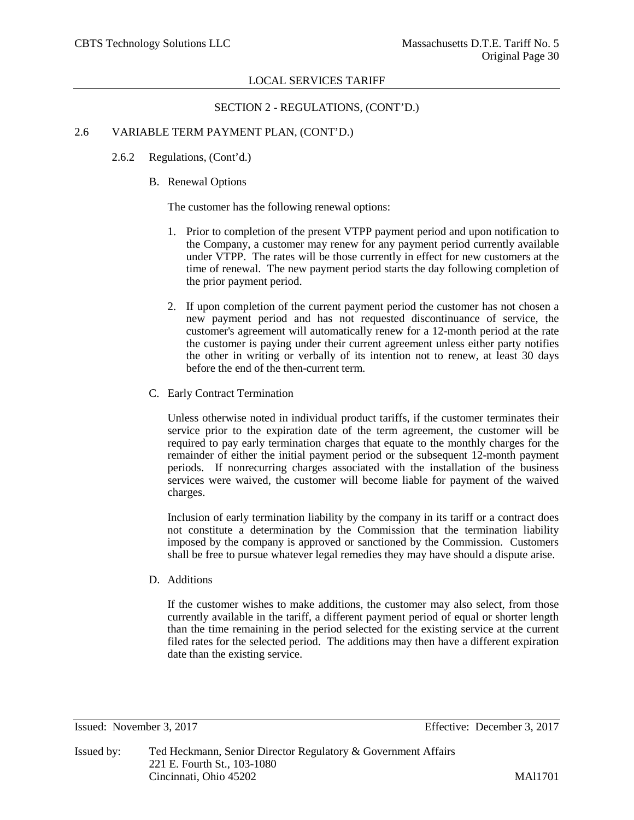SECTION 2 - REGULATIONS, (CONT'D.)

# 2.6 VARIABLE TERM PAYMENT PLAN, (CONT'D.)

- 2.6.2 Regulations, (Cont'd.)
	- B. Renewal Options

The customer has the following renewal options:

- 1. Prior to completion of the present VTPP payment period and upon notification to the Company, a customer may renew for any payment period currently available under VTPP. The rates will be those currently in effect for new customers at the time of renewal. The new payment period starts the day following completion of the prior payment period.
- 2. If upon completion of the current payment period the customer has not chosen a new payment period and has not requested discontinuance of service, the customer's agreement will automatically renew for a 12-month period at the rate the customer is paying under their current agreement unless either party notifies the other in writing or verbally of its intention not to renew, at least 30 days before the end of the then-current term.
- C. Early Contract Termination

Unless otherwise noted in individual product tariffs, if the customer terminates their service prior to the expiration date of the term agreement, the customer will be required to pay early termination charges that equate to the monthly charges for the remainder of either the initial payment period or the subsequent 12-month payment periods. If nonrecurring charges associated with the installation of the business services were waived, the customer will become liable for payment of the waived charges.

Inclusion of early termination liability by the company in its tariff or a contract does not constitute a determination by the Commission that the termination liability imposed by the company is approved or sanctioned by the Commission. Customers shall be free to pursue whatever legal remedies they may have should a dispute arise.

D. Additions

If the customer wishes to make additions, the customer may also select, from those currently available in the tariff, a different payment period of equal or shorter length than the time remaining in the period selected for the existing service at the current filed rates for the selected period. The additions may then have a different expiration date than the existing service.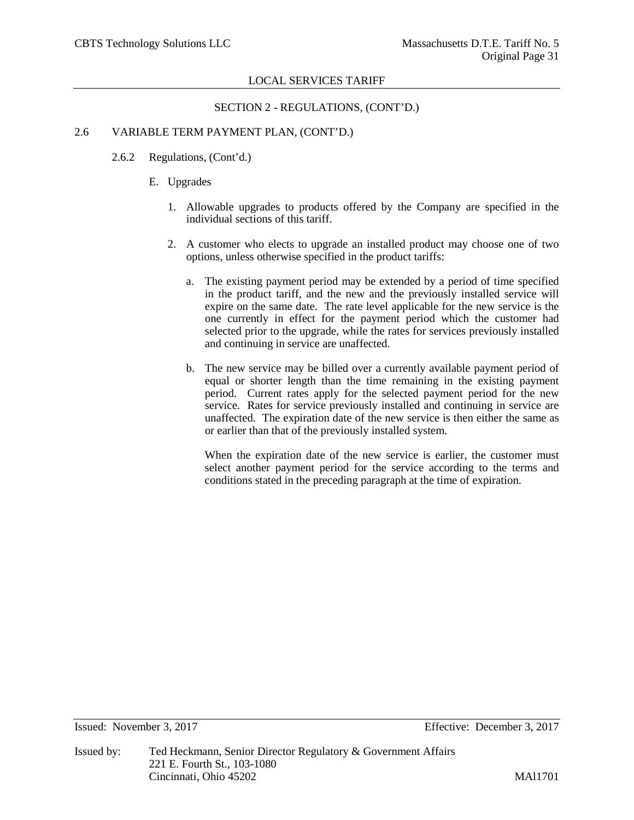SECTION 2 - REGULATIONS, (CONT'D.)

# 2.6 VARIABLE TERM PAYMENT PLAN, (CONT'D.)

- 2.6.2 Regulations, (Cont'd.)
	- E. Upgrades
		- 1. Allowable upgrades to products offered by the Company are specified in the individual sections of this tariff.
		- 2. A customer who elects to upgrade an installed product may choose one of two options, unless otherwise specified in the product tariffs:
			- a. The existing payment period may be extended by a period of time specified in the product tariff, and the new and the previously installed service will expire on the same date. The rate level applicable for the new service is the one currently in effect for the payment period which the customer had selected prior to the upgrade, while the rates for services previously installed and continuing in service are unaffected.
			- b. The new service may be billed over a currently available payment period of equal or shorter length than the time remaining in the existing payment period. Current rates apply for the selected payment period for the new service. Rates for service previously installed and continuing in service are unaffected. The expiration date of the new service is then either the same as or earlier than that of the previously installed system.

When the expiration date of the new service is earlier, the customer must select another payment period for the service according to the terms and conditions stated in the preceding paragraph at the time of expiration.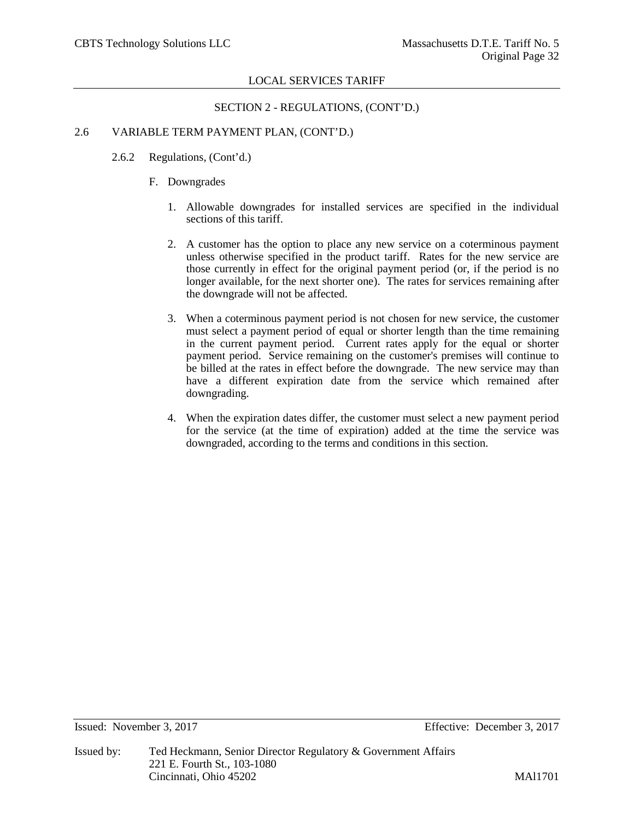## SECTION 2 - REGULATIONS, (CONT'D.)

# 2.6 VARIABLE TERM PAYMENT PLAN, (CONT'D.)

- 2.6.2 Regulations, (Cont'd.)
	- F. Downgrades
		- 1. Allowable downgrades for installed services are specified in the individual sections of this tariff.
		- 2. A customer has the option to place any new service on a coterminous payment unless otherwise specified in the product tariff. Rates for the new service are those currently in effect for the original payment period (or, if the period is no longer available, for the next shorter one). The rates for services remaining after the downgrade will not be affected.
		- 3. When a coterminous payment period is not chosen for new service, the customer must select a payment period of equal or shorter length than the time remaining in the current payment period. Current rates apply for the equal or shorter payment period. Service remaining on the customer's premises will continue to be billed at the rates in effect before the downgrade. The new service may than have a different expiration date from the service which remained after downgrading.
		- 4. When the expiration dates differ, the customer must select a new payment period for the service (at the time of expiration) added at the time the service was downgraded, according to the terms and conditions in this section.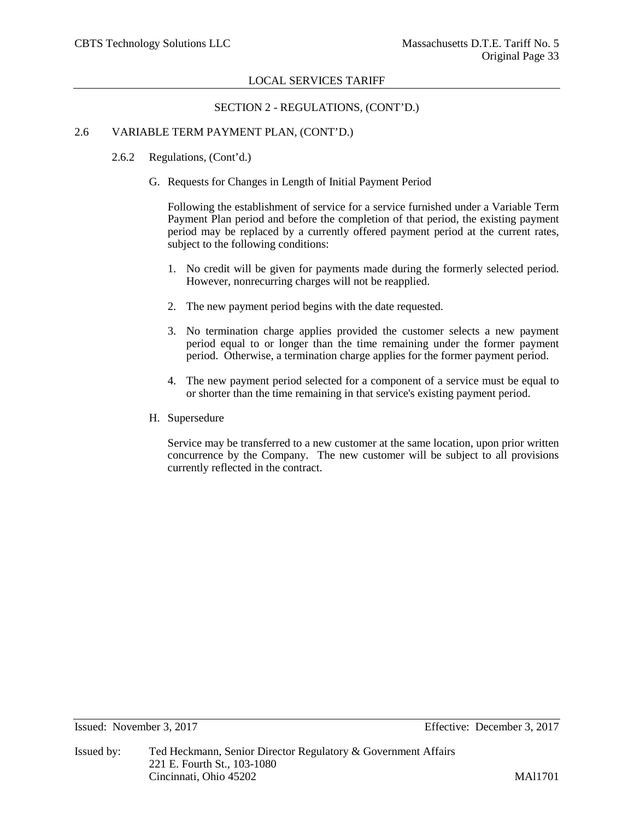SECTION 2 - REGULATIONS, (CONT'D.)

# 2.6 VARIABLE TERM PAYMENT PLAN, (CONT'D.)

- 2.6.2 Regulations, (Cont'd.)
	- G. Requests for Changes in Length of Initial Payment Period

Following the establishment of service for a service furnished under a Variable Term Payment Plan period and before the completion of that period, the existing payment period may be replaced by a currently offered payment period at the current rates, subject to the following conditions:

- 1. No credit will be given for payments made during the formerly selected period. However, nonrecurring charges will not be reapplied.
- 2. The new payment period begins with the date requested.
- 3. No termination charge applies provided the customer selects a new payment period equal to or longer than the time remaining under the former payment period. Otherwise, a termination charge applies for the former payment period.
- 4. The new payment period selected for a component of a service must be equal to or shorter than the time remaining in that service's existing payment period.
- H. Supersedure

Service may be transferred to a new customer at the same location, upon prior written concurrence by the Company. The new customer will be subject to all provisions currently reflected in the contract.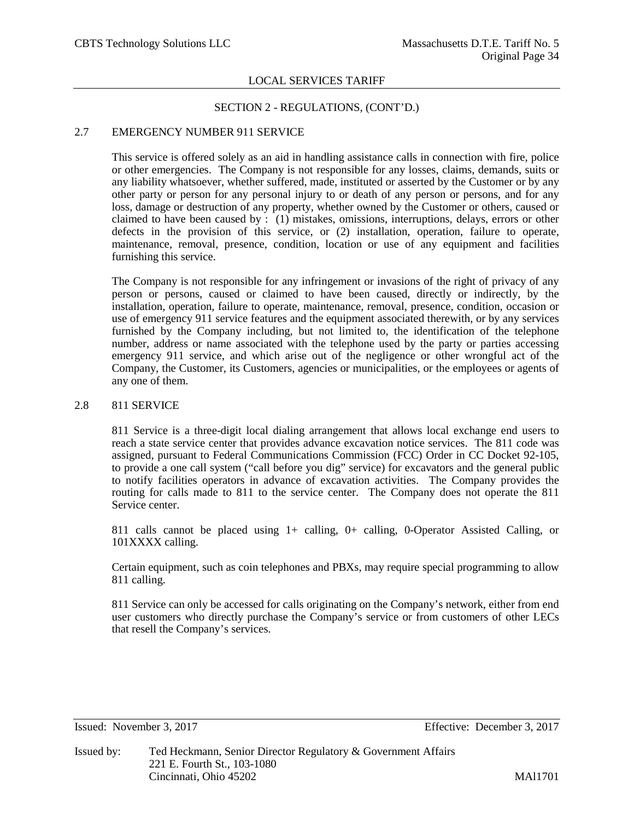# SECTION 2 - REGULATIONS, (CONT'D.)

# 2.7 EMERGENCY NUMBER 911 SERVICE

This service is offered solely as an aid in handling assistance calls in connection with fire, police or other emergencies. The Company is not responsible for any losses, claims, demands, suits or any liability whatsoever, whether suffered, made, instituted or asserted by the Customer or by any other party or person for any personal injury to or death of any person or persons, and for any loss, damage or destruction of any property, whether owned by the Customer or others, caused or claimed to have been caused by : (1) mistakes, omissions, interruptions, delays, errors or other defects in the provision of this service, or (2) installation, operation, failure to operate, maintenance, removal, presence, condition, location or use of any equipment and facilities furnishing this service.

The Company is not responsible for any infringement or invasions of the right of privacy of any person or persons, caused or claimed to have been caused, directly or indirectly, by the installation, operation, failure to operate, maintenance, removal, presence, condition, occasion or use of emergency 911 service features and the equipment associated therewith, or by any services furnished by the Company including, but not limited to, the identification of the telephone number, address or name associated with the telephone used by the party or parties accessing emergency 911 service, and which arise out of the negligence or other wrongful act of the Company, the Customer, its Customers, agencies or municipalities, or the employees or agents of any one of them.

# 2.8 811 SERVICE

811 Service is a three-digit local dialing arrangement that allows local exchange end users to reach a state service center that provides advance excavation notice services. The 811 code was assigned, pursuant to Federal Communications Commission (FCC) Order in CC Docket 92-105, to provide a one call system ("call before you dig" service) for excavators and the general public to notify facilities operators in advance of excavation activities. The Company provides the routing for calls made to 811 to the service center. The Company does not operate the 811 Service center.

811 calls cannot be placed using 1+ calling, 0+ calling, 0-Operator Assisted Calling, or 101XXXX calling.

Certain equipment, such as coin telephones and PBXs, may require special programming to allow 811 calling.

811 Service can only be accessed for calls originating on the Company's network, either from end user customers who directly purchase the Company's service or from customers of other LECs that resell the Company's services.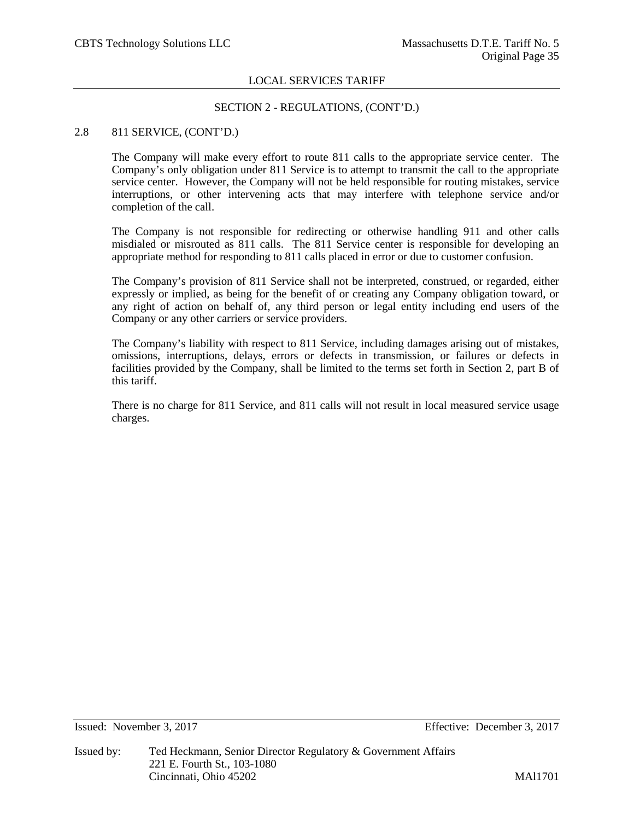# SECTION 2 - REGULATIONS, (CONT'D.)

## 2.8 811 SERVICE, (CONT'D.)

The Company will make every effort to route 811 calls to the appropriate service center. The Company's only obligation under 811 Service is to attempt to transmit the call to the appropriate service center. However, the Company will not be held responsible for routing mistakes, service interruptions, or other intervening acts that may interfere with telephone service and/or completion of the call.

The Company is not responsible for redirecting or otherwise handling 911 and other calls misdialed or misrouted as 811 calls. The 811 Service center is responsible for developing an appropriate method for responding to 811 calls placed in error or due to customer confusion.

The Company's provision of 811 Service shall not be interpreted, construed, or regarded, either expressly or implied, as being for the benefit of or creating any Company obligation toward, or any right of action on behalf of, any third person or legal entity including end users of the Company or any other carriers or service providers.

The Company's liability with respect to 811 Service, including damages arising out of mistakes, omissions, interruptions, delays, errors or defects in transmission, or failures or defects in facilities provided by the Company, shall be limited to the terms set forth in Section 2, part B of this tariff.

There is no charge for 811 Service, and 811 calls will not result in local measured service usage charges.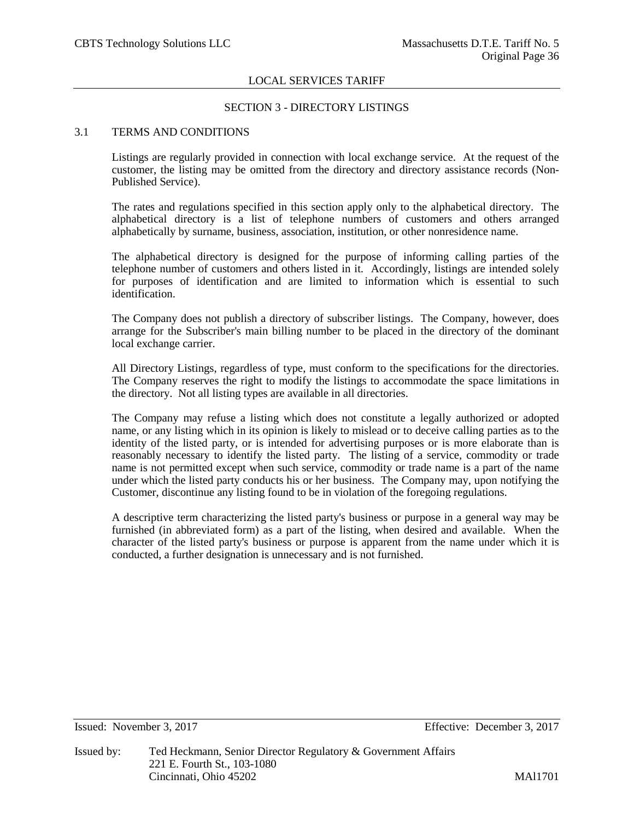## SECTION 3 - DIRECTORY LISTINGS

# 3.1 TERMS AND CONDITIONS

Listings are regularly provided in connection with local exchange service. At the request of the customer, the listing may be omitted from the directory and directory assistance records (Non-Published Service).

The rates and regulations specified in this section apply only to the alphabetical directory. The alphabetical directory is a list of telephone numbers of customers and others arranged alphabetically by surname, business, association, institution, or other nonresidence name.

The alphabetical directory is designed for the purpose of informing calling parties of the telephone number of customers and others listed in it. Accordingly, listings are intended solely for purposes of identification and are limited to information which is essential to such identification.

The Company does not publish a directory of subscriber listings. The Company, however, does arrange for the Subscriber's main billing number to be placed in the directory of the dominant local exchange carrier.

All Directory Listings, regardless of type, must conform to the specifications for the directories. The Company reserves the right to modify the listings to accommodate the space limitations in the directory. Not all listing types are available in all directories.

The Company may refuse a listing which does not constitute a legally authorized or adopted name, or any listing which in its opinion is likely to mislead or to deceive calling parties as to the identity of the listed party, or is intended for advertising purposes or is more elaborate than is reasonably necessary to identify the listed party. The listing of a service, commodity or trade name is not permitted except when such service, commodity or trade name is a part of the name under which the listed party conducts his or her business. The Company may, upon notifying the Customer, discontinue any listing found to be in violation of the foregoing regulations.

A descriptive term characterizing the listed party's business or purpose in a general way may be furnished (in abbreviated form) as a part of the listing, when desired and available. When the character of the listed party's business or purpose is apparent from the name under which it is conducted, a further designation is unnecessary and is not furnished.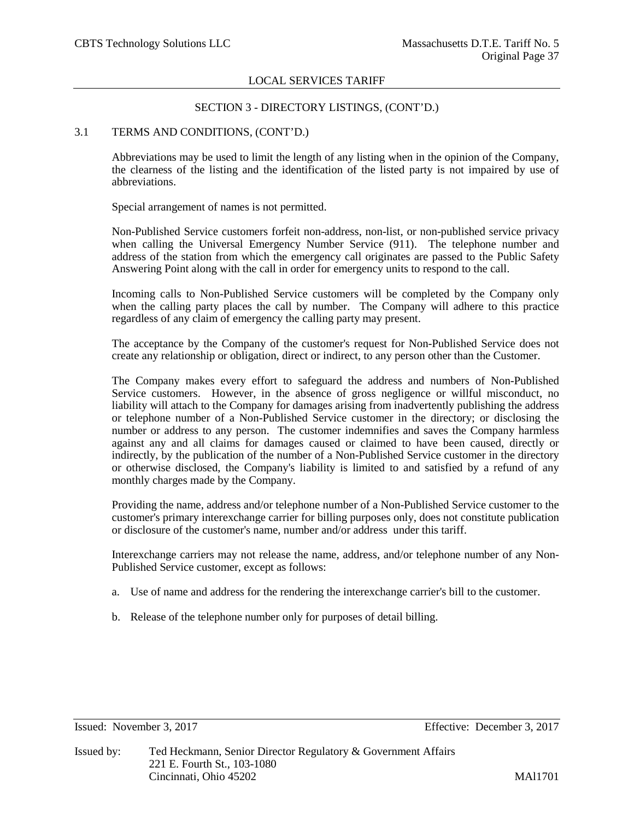# SECTION 3 - DIRECTORY LISTINGS, (CONT'D.)

## 3.1 TERMS AND CONDITIONS, (CONT'D.)

Abbreviations may be used to limit the length of any listing when in the opinion of the Company, the clearness of the listing and the identification of the listed party is not impaired by use of abbreviations.

Special arrangement of names is not permitted.

Non-Published Service customers forfeit non-address, non-list, or non-published service privacy when calling the Universal Emergency Number Service (911). The telephone number and address of the station from which the emergency call originates are passed to the Public Safety Answering Point along with the call in order for emergency units to respond to the call.

Incoming calls to Non-Published Service customers will be completed by the Company only when the calling party places the call by number. The Company will adhere to this practice regardless of any claim of emergency the calling party may present.

The acceptance by the Company of the customer's request for Non-Published Service does not create any relationship or obligation, direct or indirect, to any person other than the Customer.

The Company makes every effort to safeguard the address and numbers of Non-Published Service customers. However, in the absence of gross negligence or willful misconduct, no liability will attach to the Company for damages arising from inadvertently publishing the address or telephone number of a Non-Published Service customer in the directory; or disclosing the number or address to any person. The customer indemnifies and saves the Company harmless against any and all claims for damages caused or claimed to have been caused, directly or indirectly, by the publication of the number of a Non-Published Service customer in the directory or otherwise disclosed, the Company's liability is limited to and satisfied by a refund of any monthly charges made by the Company.

Providing the name, address and/or telephone number of a Non-Published Service customer to the customer's primary interexchange carrier for billing purposes only, does not constitute publication or disclosure of the customer's name, number and/or address under this tariff.

Interexchange carriers may not release the name, address, and/or telephone number of any Non-Published Service customer, except as follows:

- a. Use of name and address for the rendering the interexchange carrier's bill to the customer.
- b. Release of the telephone number only for purposes of detail billing.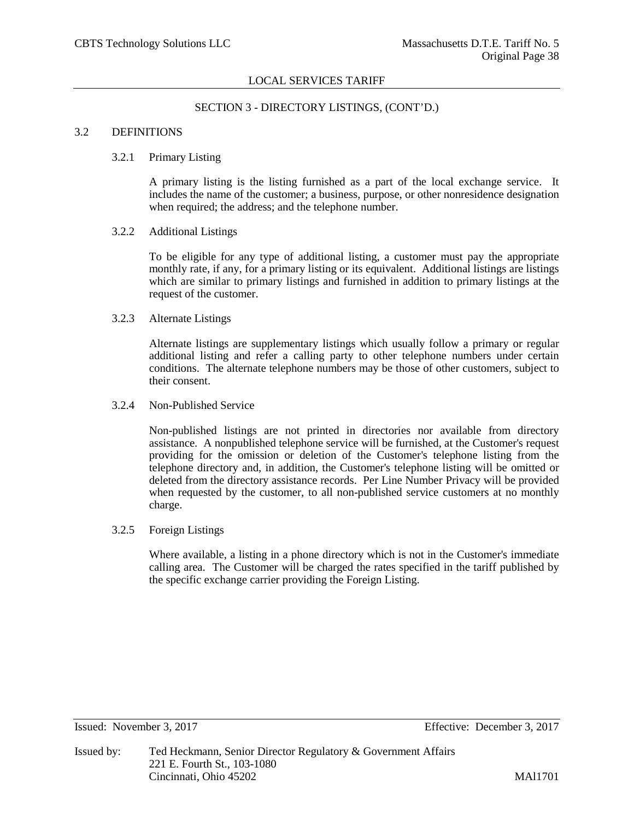# SECTION 3 - DIRECTORY LISTINGS, (CONT'D.)

# 3.2 DEFINITIONS

#### 3.2.1 Primary Listing

A primary listing is the listing furnished as a part of the local exchange service. It includes the name of the customer; a business, purpose, or other nonresidence designation when required; the address; and the telephone number.

#### 3.2.2 Additional Listings

To be eligible for any type of additional listing, a customer must pay the appropriate monthly rate, if any, for a primary listing or its equivalent. Additional listings are listings which are similar to primary listings and furnished in addition to primary listings at the request of the customer.

# 3.2.3 Alternate Listings

Alternate listings are supplementary listings which usually follow a primary or regular additional listing and refer a calling party to other telephone numbers under certain conditions. The alternate telephone numbers may be those of other customers, subject to their consent.

#### 3.2.4 Non-Published Service

Non-published listings are not printed in directories nor available from directory assistance. A nonpublished telephone service will be furnished, at the Customer's request providing for the omission or deletion of the Customer's telephone listing from the telephone directory and, in addition, the Customer's telephone listing will be omitted or deleted from the directory assistance records. Per Line Number Privacy will be provided when requested by the customer, to all non-published service customers at no monthly charge.

3.2.5 Foreign Listings

Where available, a listing in a phone directory which is not in the Customer's immediate calling area. The Customer will be charged the rates specified in the tariff published by the specific exchange carrier providing the Foreign Listing.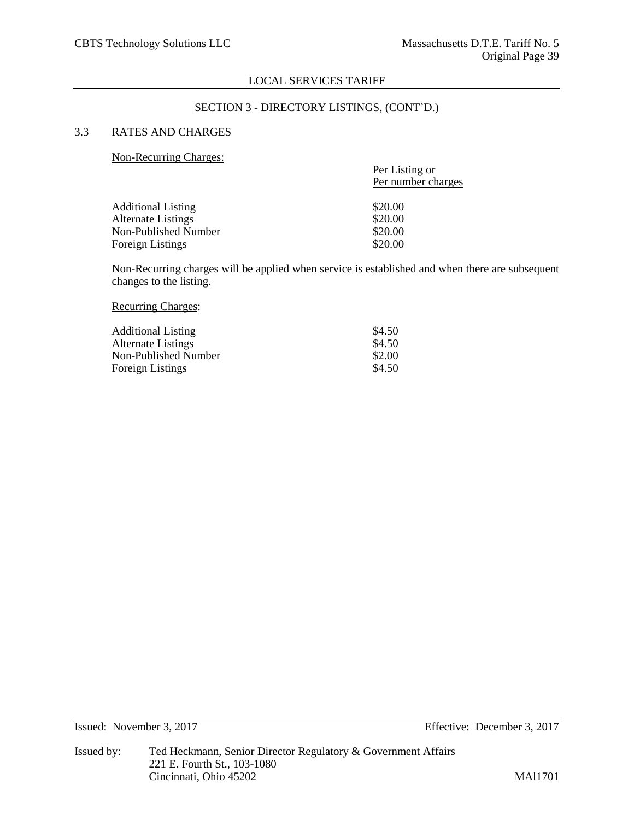#### SECTION 3 - DIRECTORY LISTINGS, (CONT'D.)

# 3.3 RATES AND CHARGES

#### Non-Recurring Charges:

| $1$ von recentang endergrow. | Per Listing or<br>Per number charges |
|------------------------------|--------------------------------------|
| <b>Additional Listing</b>    | \$20.00                              |
| <b>Alternate Listings</b>    | \$20.00                              |
| Non-Published Number         | \$20.00                              |
| <b>Foreign Listings</b>      | \$20.00                              |
|                              |                                      |

Non-Recurring charges will be applied when service is established and when there are subsequent changes to the listing.

#### Recurring Charges:

| <b>Additional Listing</b> | \$4.50 |
|---------------------------|--------|
| Alternate Listings        | \$4.50 |
| Non-Published Number      | \$2.00 |
| Foreign Listings          | \$4.50 |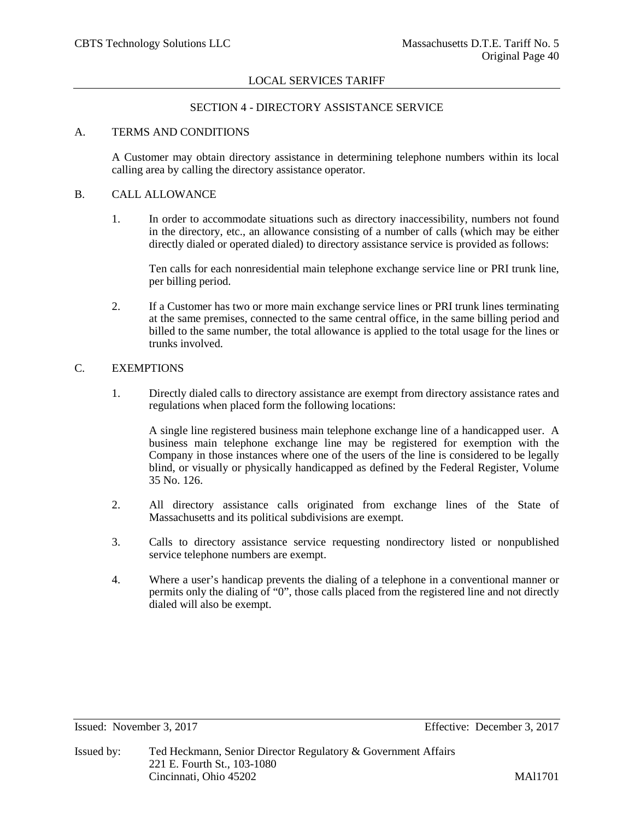# SECTION 4 - DIRECTORY ASSISTANCE SERVICE

# A. TERMS AND CONDITIONS

A Customer may obtain directory assistance in determining telephone numbers within its local calling area by calling the directory assistance operator.

### B. CALL ALLOWANCE

1. In order to accommodate situations such as directory inaccessibility, numbers not found in the directory, etc., an allowance consisting of a number of calls (which may be either directly dialed or operated dialed) to directory assistance service is provided as follows:

Ten calls for each nonresidential main telephone exchange service line or PRI trunk line, per billing period.

2. If a Customer has two or more main exchange service lines or PRI trunk lines terminating at the same premises, connected to the same central office, in the same billing period and billed to the same number, the total allowance is applied to the total usage for the lines or trunks involved.

#### C. EXEMPTIONS

1. Directly dialed calls to directory assistance are exempt from directory assistance rates and regulations when placed form the following locations:

A single line registered business main telephone exchange line of a handicapped user. A business main telephone exchange line may be registered for exemption with the Company in those instances where one of the users of the line is considered to be legally blind, or visually or physically handicapped as defined by the Federal Register, Volume 35 No. 126.

- 2. All directory assistance calls originated from exchange lines of the State of Massachusetts and its political subdivisions are exempt.
- 3. Calls to directory assistance service requesting nondirectory listed or nonpublished service telephone numbers are exempt.
- 4. Where a user's handicap prevents the dialing of a telephone in a conventional manner or permits only the dialing of "0", those calls placed from the registered line and not directly dialed will also be exempt.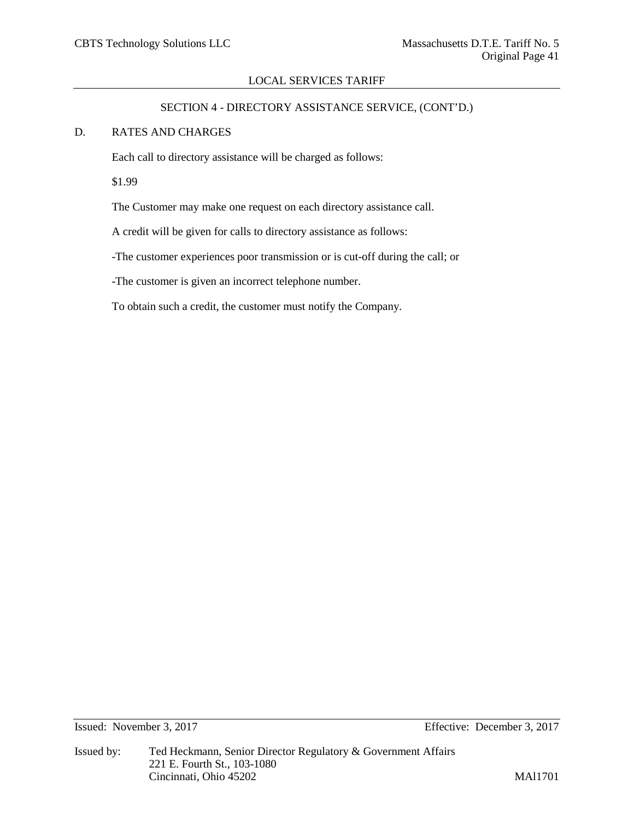# SECTION 4 - DIRECTORY ASSISTANCE SERVICE, (CONT'D.)

## D. RATES AND CHARGES

Each call to directory assistance will be charged as follows:

\$1.99

The Customer may make one request on each directory assistance call.

A credit will be given for calls to directory assistance as follows:

-The customer experiences poor transmission or is cut-off during the call; or

-The customer is given an incorrect telephone number.

To obtain such a credit, the customer must notify the Company.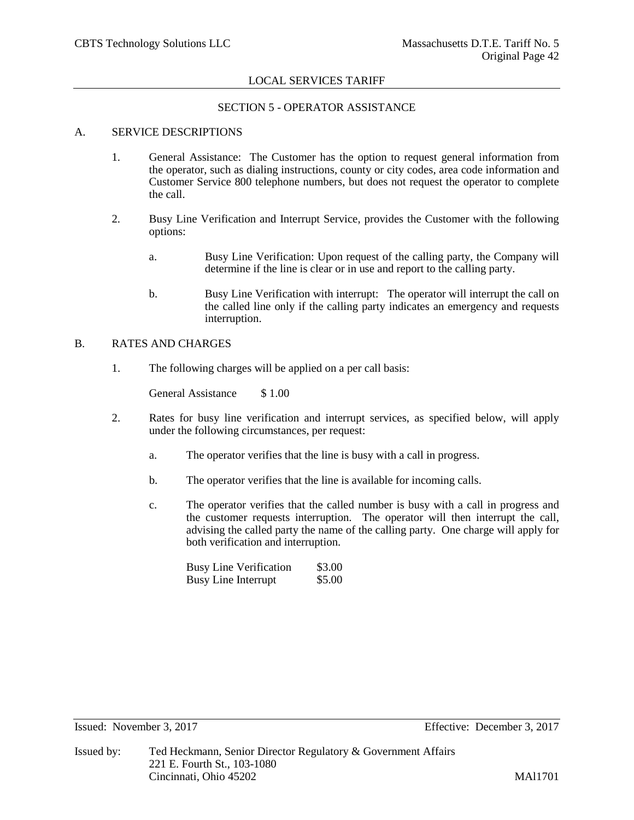# SECTION 5 - OPERATOR ASSISTANCE

# A. SERVICE DESCRIPTIONS

- 1. General Assistance: The Customer has the option to request general information from the operator, such as dialing instructions, county or city codes, area code information and Customer Service 800 telephone numbers, but does not request the operator to complete the call.
- 2. Busy Line Verification and Interrupt Service, provides the Customer with the following options:
	- a. Busy Line Verification: Upon request of the calling party, the Company will determine if the line is clear or in use and report to the calling party.
	- b. Busy Line Verification with interrupt: The operator will interrupt the call on the called line only if the calling party indicates an emergency and requests interruption.

# B. RATES AND CHARGES

1. The following charges will be applied on a per call basis:

General Assistance \$1.00

- 2. Rates for busy line verification and interrupt services, as specified below, will apply under the following circumstances, per request:
	- a. The operator verifies that the line is busy with a call in progress.
	- b. The operator verifies that the line is available for incoming calls.
	- c. The operator verifies that the called number is busy with a call in progress and the customer requests interruption. The operator will then interrupt the call, advising the called party the name of the calling party. One charge will apply for both verification and interruption.

| <b>Busy Line Verification</b> | \$3.00 |
|-------------------------------|--------|
| <b>Busy Line Interrupt</b>    | \$5.00 |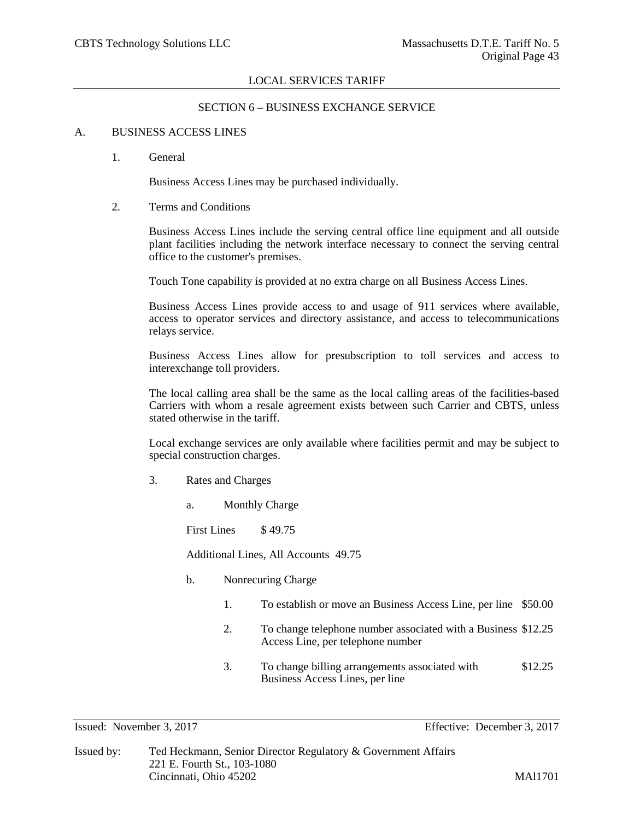## SECTION 6 – BUSINESS EXCHANGE SERVICE

# A. BUSINESS ACCESS LINES

1. General

Business Access Lines may be purchased individually.

2. Terms and Conditions

Business Access Lines include the serving central office line equipment and all outside plant facilities including the network interface necessary to connect the serving central office to the customer's premises.

Touch Tone capability is provided at no extra charge on all Business Access Lines.

Business Access Lines provide access to and usage of 911 services where available, access to operator services and directory assistance, and access to telecommunications relays service.

Business Access Lines allow for presubscription to toll services and access to interexchange toll providers.

The local calling area shall be the same as the local calling areas of the facilities-based Carriers with whom a resale agreement exists between such Carrier and CBTS, unless stated otherwise in the tariff.

Local exchange services are only available where facilities permit and may be subject to special construction charges.

- 3. Rates and Charges
	- a. Monthly Charge

First Lines \$49.75

Additional Lines, All Accounts 49.75

- b. Nonrecuring Charge
	- 1. To establish or move an Business Access Line, per line \$50.00
	- 2. To change telephone number associated with a Business \$12.25 Access Line, per telephone number
	- 3. To change billing arrangements associated with \$12.25 Business Access Lines, per line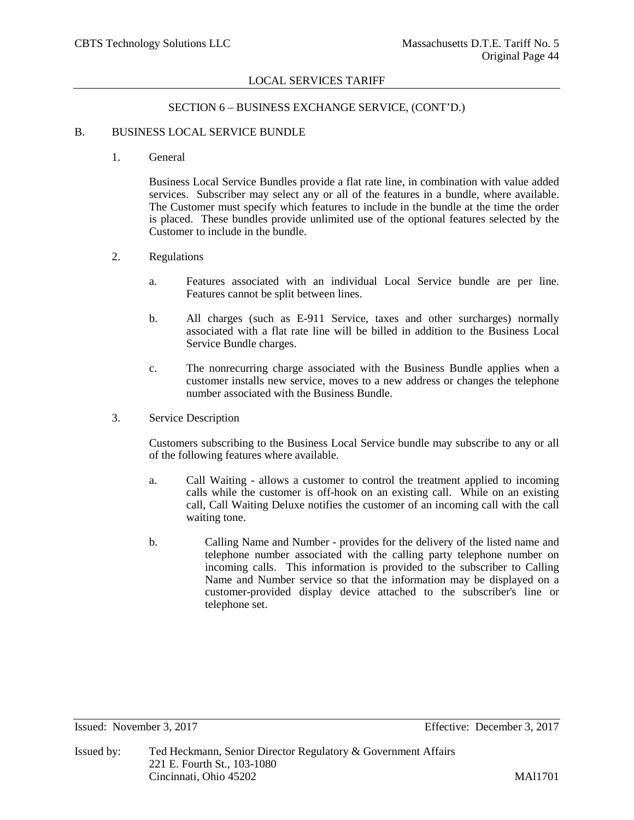# SECTION 6 – BUSINESS EXCHANGE SERVICE, (CONT'D.)

## B. BUSINESS LOCAL SERVICE BUNDLE

1. General

Business Local Service Bundles provide a flat rate line, in combination with value added services. Subscriber may select any or all of the features in a bundle, where available. The Customer must specify which features to include in the bundle at the time the order is placed. These bundles provide unlimited use of the optional features selected by the Customer to include in the bundle.

- 2. Regulations
	- a. Features associated with an individual Local Service bundle are per line. Features cannot be split between lines.
	- b. All charges (such as E-911 Service, taxes and other surcharges) normally associated with a flat rate line will be billed in addition to the Business Local Service Bundle charges.
	- c. The nonrecurring charge associated with the Business Bundle applies when a customer installs new service, moves to a new address or changes the telephone number associated with the Business Bundle.
- 3. Service Description

Customers subscribing to the Business Local Service bundle may subscribe to any or all of the following features where available.

- a. Call Waiting allows a customer to control the treatment applied to incoming calls while the customer is off-hook on an existing call. While on an existing call, Call Waiting Deluxe notifies the customer of an incoming call with the call waiting tone.
- b. Calling Name and Number provides for the delivery of the listed name and telephone number associated with the calling party telephone number on incoming calls. This information is provided to the subscriber to Calling Name and Number service so that the information may be displayed on a customer-provided display device attached to the subscriber's line or telephone set.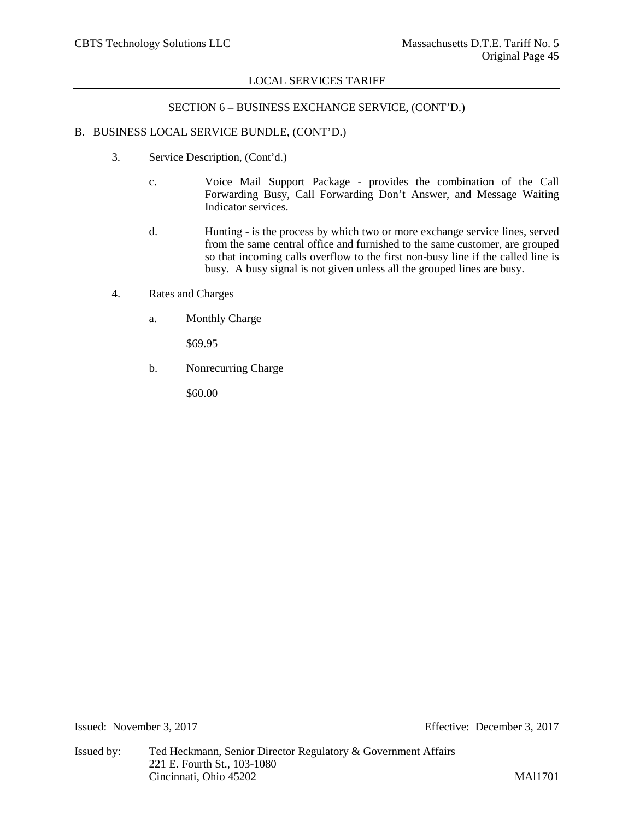## SECTION 6 – BUSINESS EXCHANGE SERVICE, (CONT'D.)

## B. BUSINESS LOCAL SERVICE BUNDLE, (CONT'D.)

- 3. Service Description, (Cont'd.)
	- c. Voice Mail Support Package provides the combination of the Call Forwarding Busy, Call Forwarding Don't Answer, and Message Waiting Indicator services.
	- d. Hunting is the process by which two or more exchange service lines, served from the same central office and furnished to the same customer, are grouped so that incoming calls overflow to the first non-busy line if the called line is busy. A busy signal is not given unless all the grouped lines are busy.
- 4. Rates and Charges
	- a. Monthly Charge

\$69.95

b. Nonrecurring Charge

\$60.00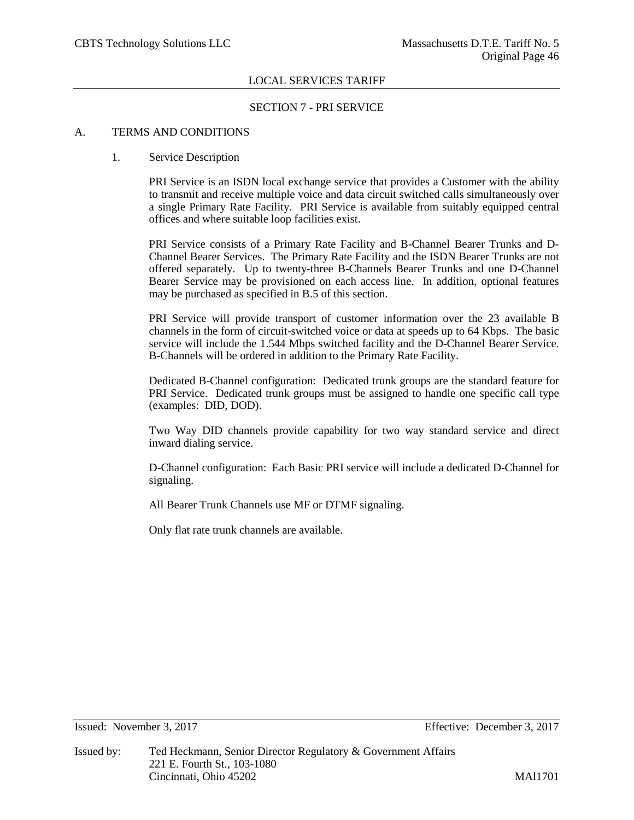## SECTION 7 - PRI SERVICE

# A. TERMS AND CONDITIONS

## 1. Service Description

PRI Service is an ISDN local exchange service that provides a Customer with the ability to transmit and receive multiple voice and data circuit switched calls simultaneously over a single Primary Rate Facility. PRI Service is available from suitably equipped central offices and where suitable loop facilities exist.

PRI Service consists of a Primary Rate Facility and B-Channel Bearer Trunks and D-Channel Bearer Services. The Primary Rate Facility and the ISDN Bearer Trunks are not offered separately. Up to twenty-three B-Channels Bearer Trunks and one D-Channel Bearer Service may be provisioned on each access line. In addition, optional features may be purchased as specified in B.5 of this section.

PRI Service will provide transport of customer information over the 23 available B channels in the form of circuit-switched voice or data at speeds up to 64 Kbps. The basic service will include the 1.544 Mbps switched facility and the D-Channel Bearer Service. B-Channels will be ordered in addition to the Primary Rate Facility.

Dedicated B-Channel configuration: Dedicated trunk groups are the standard feature for PRI Service. Dedicated trunk groups must be assigned to handle one specific call type (examples: DID, DOD).

Two Way DID channels provide capability for two way standard service and direct inward dialing service.

D-Channel configuration: Each Basic PRI service will include a dedicated D-Channel for signaling.

All Bearer Trunk Channels use MF or DTMF signaling.

Only flat rate trunk channels are available.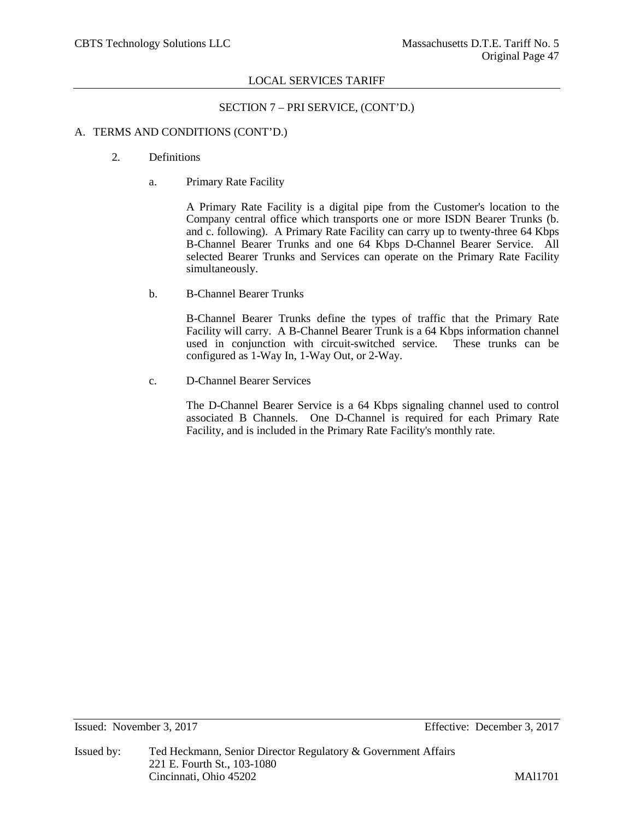SECTION 7 – PRI SERVICE, (CONT'D.)

## A. TERMS AND CONDITIONS (CONT'D.)

- 2. Definitions
	- a. Primary Rate Facility

A Primary Rate Facility is a digital pipe from the Customer's location to the Company central office which transports one or more ISDN Bearer Trunks (b. and c. following). A Primary Rate Facility can carry up to twenty-three 64 Kbps B-Channel Bearer Trunks and one 64 Kbps D-Channel Bearer Service. All selected Bearer Trunks and Services can operate on the Primary Rate Facility simultaneously.

b. B-Channel Bearer Trunks

B-Channel Bearer Trunks define the types of traffic that the Primary Rate Facility will carry. A B-Channel Bearer Trunk is a 64 Kbps information channel used in conjunction with circuit-switched service. These trunks can be configured as 1-Way In, 1-Way Out, or 2-Way.

c. D-Channel Bearer Services

The D-Channel Bearer Service is a 64 Kbps signaling channel used to control associated B Channels. One D-Channel is required for each Primary Rate Facility, and is included in the Primary Rate Facility's monthly rate.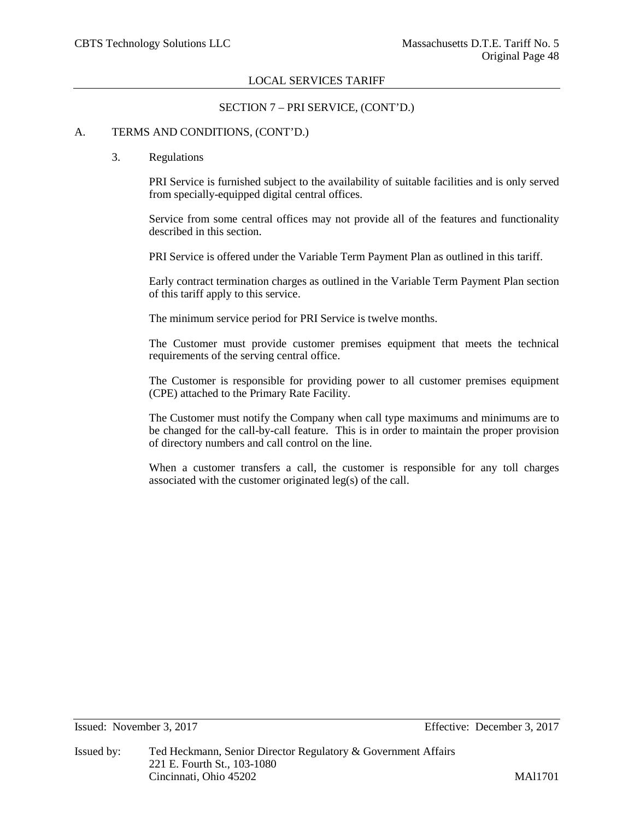## SECTION 7 – PRI SERVICE, (CONT'D.)

## A. TERMS AND CONDITIONS, (CONT'D.)

#### 3. Regulations

PRI Service is furnished subject to the availability of suitable facilities and is only served from specially-equipped digital central offices.

Service from some central offices may not provide all of the features and functionality described in this section.

PRI Service is offered under the Variable Term Payment Plan as outlined in this tariff.

Early contract termination charges as outlined in the Variable Term Payment Plan section of this tariff apply to this service.

The minimum service period for PRI Service is twelve months.

The Customer must provide customer premises equipment that meets the technical requirements of the serving central office.

The Customer is responsible for providing power to all customer premises equipment (CPE) attached to the Primary Rate Facility.

The Customer must notify the Company when call type maximums and minimums are to be changed for the call-by-call feature. This is in order to maintain the proper provision of directory numbers and call control on the line.

When a customer transfers a call, the customer is responsible for any toll charges associated with the customer originated leg(s) of the call.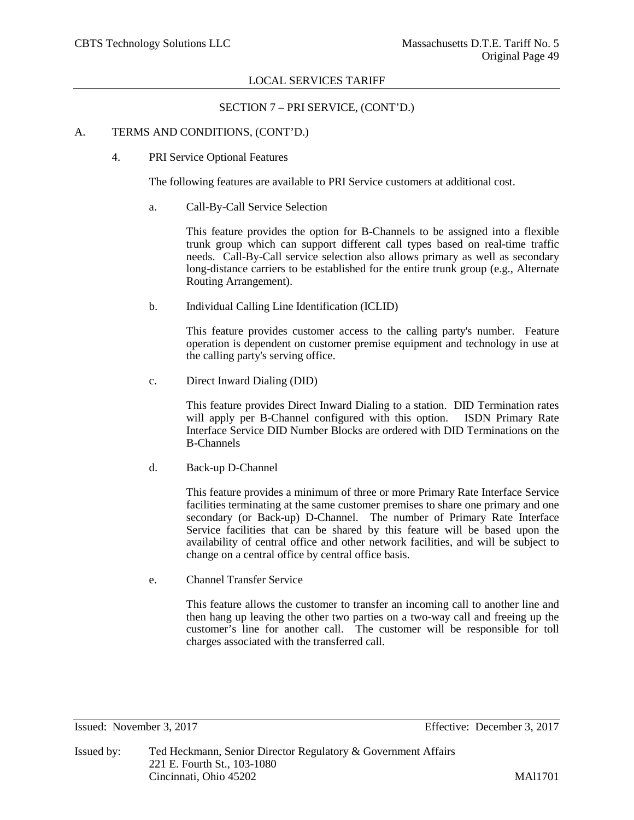SECTION 7 – PRI SERVICE, (CONT'D.)

## A. TERMS AND CONDITIONS, (CONT'D.)

4. PRI Service Optional Features

The following features are available to PRI Service customers at additional cost.

a. Call-By-Call Service Selection

This feature provides the option for B-Channels to be assigned into a flexible trunk group which can support different call types based on real-time traffic needs. Call-By-Call service selection also allows primary as well as secondary long-distance carriers to be established for the entire trunk group (e.g., Alternate Routing Arrangement).

b. Individual Calling Line Identification (ICLID)

This feature provides customer access to the calling party's number. Feature operation is dependent on customer premise equipment and technology in use at the calling party's serving office.

c. Direct Inward Dialing (DID)

This feature provides Direct Inward Dialing to a station. DID Termination rates will apply per B-Channel configured with this option. ISDN Primary Rate Interface Service DID Number Blocks are ordered with DID Terminations on the B-Channels

d. Back-up D-Channel

This feature provides a minimum of three or more Primary Rate Interface Service facilities terminating at the same customer premises to share one primary and one secondary (or Back-up) D-Channel. The number of Primary Rate Interface Service facilities that can be shared by this feature will be based upon the availability of central office and other network facilities, and will be subject to change on a central office by central office basis.

e. Channel Transfer Service

This feature allows the customer to transfer an incoming call to another line and then hang up leaving the other two parties on a two-way call and freeing up the customer's line for another call. The customer will be responsible for toll charges associated with the transferred call.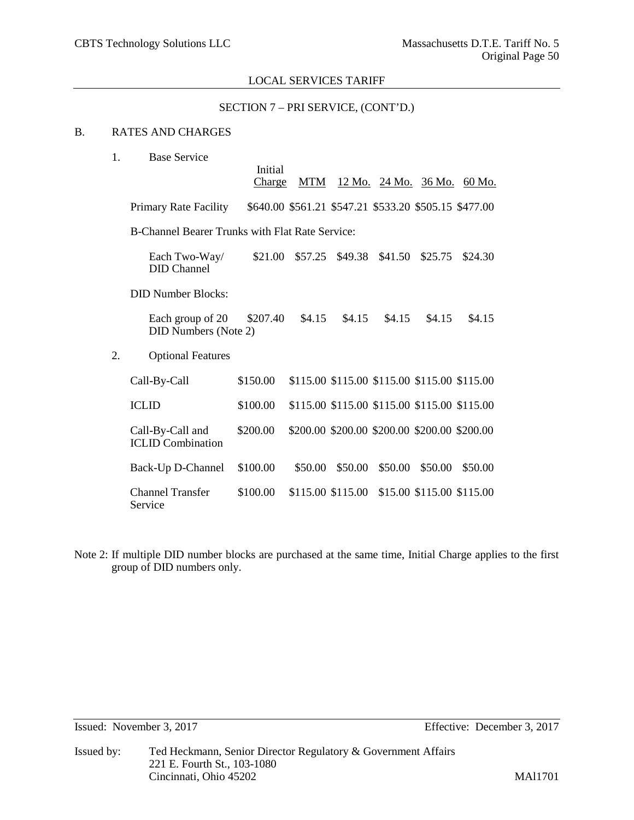### SECTION 7 – PRI SERVICE, (CONT'D.)

# B. RATES AND CHARGES

| 1.                                                     | <b>Base Service</b>                             | Initial<br>Charge | <b>MTM</b> |                                                       |         |                           | <u>12 Mo. 24 Mo. 36 Mo. 60 Mo.</u> |  |
|--------------------------------------------------------|-------------------------------------------------|-------------------|------------|-------------------------------------------------------|---------|---------------------------|------------------------------------|--|
|                                                        | <b>Primary Rate Facility</b>                    |                   |            | \$640.00 \$561.21 \$547.21 \$533.20 \$505.15 \$477.00 |         |                           |                                    |  |
| <b>B-Channel Bearer Trunks with Flat Rate Service:</b> |                                                 |                   |            |                                                       |         |                           |                                    |  |
|                                                        | Each Two-Way/<br><b>DID</b> Channel             | \$21.00           | \$57.25    | \$49.38                                               | \$41.50 | \$25.75                   | \$24.30                            |  |
|                                                        | <b>DID Number Blocks:</b>                       |                   |            |                                                       |         |                           |                                    |  |
|                                                        | Each group of 20<br><b>DID Numbers (Note 2)</b> | \$207.40          | \$4.15     | \$4.15                                                | \$4.15  | \$4.15                    | \$4.15                             |  |
| 2.                                                     | <b>Optional Features</b>                        |                   |            |                                                       |         |                           |                                    |  |
|                                                        | Call-By-Call                                    | \$150.00          |            | \$115.00 \$115.00 \$115.00 \$115.00 \$115.00          |         |                           |                                    |  |
|                                                        | <b>ICLID</b>                                    | \$100.00          |            | \$115.00 \$115.00 \$115.00 \$115.00 \$115.00          |         |                           |                                    |  |
|                                                        | Call-By-Call and<br><b>ICLID</b> Combination    | \$200.00          |            | \$200.00 \$200.00 \$200.00 \$200.00 \$200.00          |         |                           |                                    |  |
|                                                        | Back-Up D-Channel                               | \$100.00          | \$50.00    | \$50.00                                               | \$50.00 | \$50.00                   | \$50.00                            |  |
|                                                        | <b>Channel Transfer</b><br>Service              | \$100.00          |            | \$115.00 \$115.00                                     |         | \$15.00 \$115.00 \$115.00 |                                    |  |

Note 2: If multiple DID number blocks are purchased at the same time, Initial Charge applies to the first group of DID numbers only.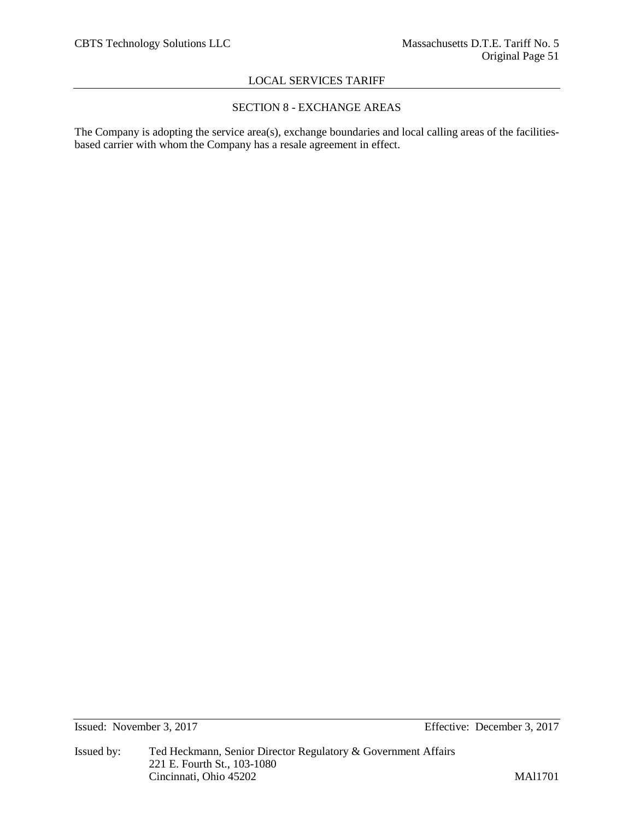# SECTION 8 - EXCHANGE AREAS

The Company is adopting the service area(s), exchange boundaries and local calling areas of the facilitiesbased carrier with whom the Company has a resale agreement in effect.